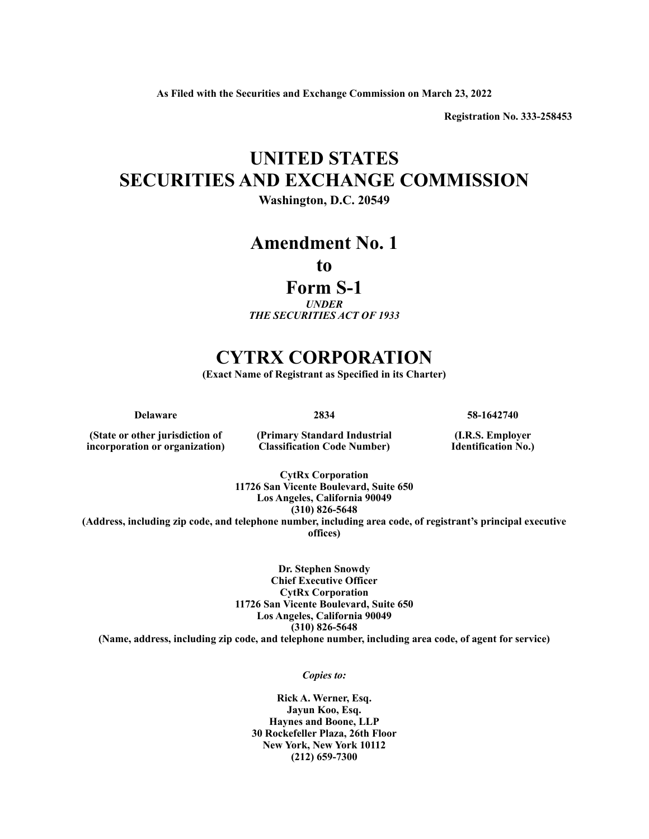**As Filed with the Securities and Exchange Commission on March 23, 2022**

**Registration No. 333-258453**

# **UNITED STATES SECURITIES AND EXCHANGE COMMISSION**

**Washington, D.C. 20549**

# **Amendment No. 1**

**to**

# **Form S-1**

*UNDER THE SECURITIES ACT OF 1933* 

# **CYTRX CORPORATION**

**(Exact Name of Registrant as Specified in its Charter)**

**(State or other jurisdiction of incorporation or organization)** **(Primary Standard Industrial Classification Code Number)**

**Delaware 2834 58-1642740**

**(I.R.S. Employer Identification No.)**

**CytRx Corporation 11726 San Vicente Boulevard, Suite 650 Los Angeles, California 90049 (310) 826-5648 (Address, including zip code, and telephone number, including area code, of registrant's principal executive offices)**

**Dr. Stephen Snowdy Chief Executive Officer CytRx Corporation 11726 San Vicente Boulevard, Suite 650 Los Angeles, California 90049 (310) 826-5648 (Name, address, including zip code, and telephone number, including area code, of agent for service)**

*Copies to:*

**Rick A. Werner, Esq. Jayun Koo, Esq. Haynes and Boone, LLP 30 Rockefeller Plaza, 26th Floor New York, New York 10112 (212) 659-7300**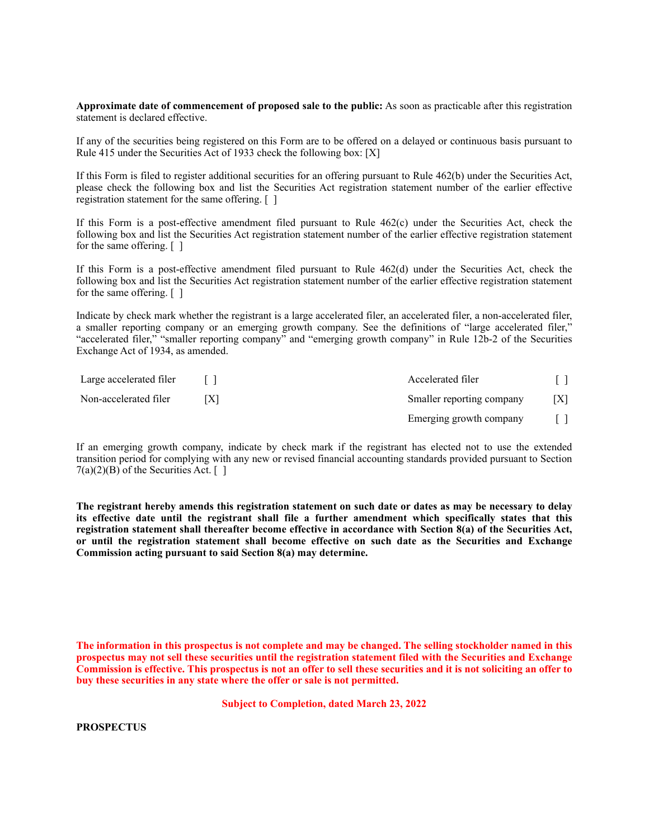**Approximate date of commencement of proposed sale to the public:** As soon as practicable after this registration statement is declared effective.

If any of the securities being registered on this Form are to be offered on a delayed or continuous basis pursuant to Rule 415 under the Securities Act of 1933 check the following box: [X]

If this Form is filed to register additional securities for an offering pursuant to Rule 462(b) under the Securities Act, please check the following box and list the Securities Act registration statement number of the earlier effective registration statement for the same offering. [ ]

If this Form is a post-effective amendment filed pursuant to Rule 462(c) under the Securities Act, check the following box and list the Securities Act registration statement number of the earlier effective registration statement for the same offering. [ ]

If this Form is a post-effective amendment filed pursuant to Rule 462(d) under the Securities Act, check the following box and list the Securities Act registration statement number of the earlier effective registration statement for the same offering. [ ]

Indicate by check mark whether the registrant is a large accelerated filer, an accelerated filer, a non-accelerated filer, a smaller reporting company or an emerging growth company. See the definitions of "large accelerated filer," "accelerated filer," "smaller reporting company" and "emerging growth company" in Rule 12b-2 of the Securities Exchange Act of 1934, as amended.

| Large accelerated filer | Accelerated filer         |     |
|-------------------------|---------------------------|-----|
| Non-accelerated filer   | Smaller reporting company | [X] |
|                         | Emerging growth company   |     |

If an emerging growth company, indicate by check mark if the registrant has elected not to use the extended transition period for complying with any new or revised financial accounting standards provided pursuant to Section  $7(a)(2)(B)$  of the Securities Act.  $\lceil \cdot \rceil$ 

**The registrant hereby amends this registration statement on such date or dates as may be necessary to delay its effective date until the registrant shall file a further amendment which specifically states that this registration statement shall thereafter become effective in accordance with Section 8(a) of the Securities Act, or until the registration statement shall become effective on such date as the Securities and Exchange Commission acting pursuant to said Section 8(a) may determine.**

**The information in this prospectus is not complete and may be changed. The selling stockholder named in this prospectus may not sell these securities until the registration statement filed with the Securities and Exchange Commission is effective. This prospectus is not an offer to sell these securities and it is not soliciting an offer to buy these securities in any state where the offer or sale is not permitted.**

**Subject to Completion, dated March 23, 2022**

**PROSPECTUS**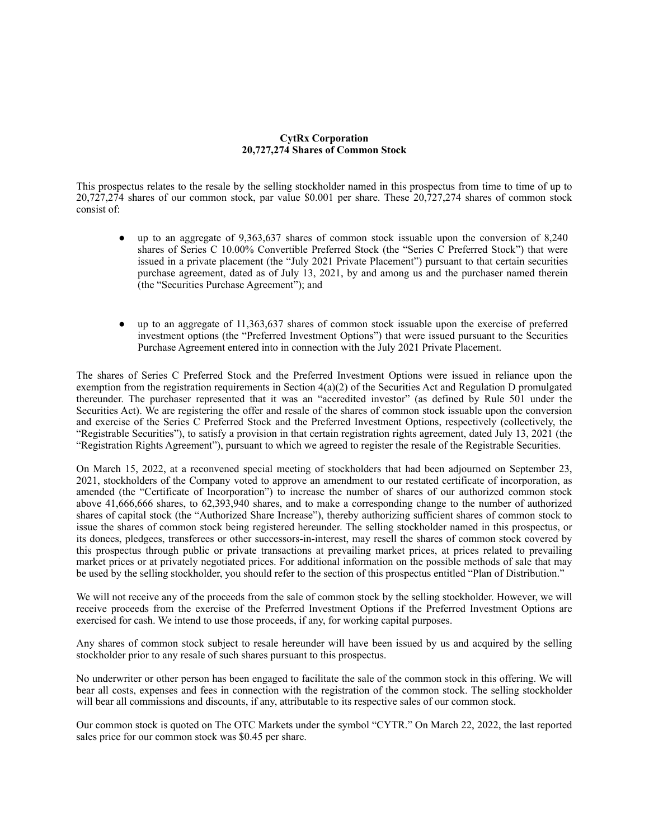# **CytRx Corporation 20,727,274 Shares of Common Stock**

This prospectus relates to the resale by the selling stockholder named in this prospectus from time to time of up to 20,727,274 shares of our common stock, par value \$0.001 per share. These 20,727,274 shares of common stock consist of:

- up to an aggregate of  $9,363,637$  shares of common stock issuable upon the conversion of 8,240 shares of Series C 10.00% Convertible Preferred Stock (the "Series C Preferred Stock") that were issued in a private placement (the "July 2021 Private Placement") pursuant to that certain securities purchase agreement, dated as of July 13, 2021, by and among us and the purchaser named therein (the "Securities Purchase Agreement"); and
- up to an aggregate of 11,363,637 shares of common stock issuable upon the exercise of preferred investment options (the "Preferred Investment Options") that were issued pursuant to the Securities Purchase Agreement entered into in connection with the July 2021 Private Placement.

The shares of Series C Preferred Stock and the Preferred Investment Options were issued in reliance upon the exemption from the registration requirements in Section  $4(a)(2)$  of the Securities Act and Regulation D promulgated thereunder. The purchaser represented that it was an "accredited investor" (as defined by Rule 501 under the Securities Act). We are registering the offer and resale of the shares of common stock issuable upon the conversion and exercise of the Series C Preferred Stock and the Preferred Investment Options, respectively (collectively, the "Registrable Securities"), to satisfy a provision in that certain registration rights agreement, dated July 13, 2021 (the "Registration Rights Agreement"), pursuant to which we agreed to register the resale of the Registrable Securities.

On March 15, 2022, at a reconvened special meeting of stockholders that had been adjourned on September 23, 2021, stockholders of the Company voted to approve an amendment to our restated certificate of incorporation, as amended (the "Certificate of Incorporation") to increase the number of shares of our authorized common stock above 41,666,666 shares, to 62,393,940 shares, and to make a corresponding change to the number of authorized shares of capital stock (the "Authorized Share Increase"), thereby authorizing sufficient shares of common stock to issue the shares of common stock being registered hereunder. The selling stockholder named in this prospectus, or its donees, pledgees, transferees or other successors-in-interest, may resell the shares of common stock covered by this prospectus through public or private transactions at prevailing market prices, at prices related to prevailing market prices or at privately negotiated prices. For additional information on the possible methods of sale that may be used by the selling stockholder, you should refer to the section of this prospectus entitled "Plan of Distribution."

We will not receive any of the proceeds from the sale of common stock by the selling stockholder. However, we will receive proceeds from the exercise of the Preferred Investment Options if the Preferred Investment Options are exercised for cash. We intend to use those proceeds, if any, for working capital purposes.

Any shares of common stock subject to resale hereunder will have been issued by us and acquired by the selling stockholder prior to any resale of such shares pursuant to this prospectus.

No underwriter or other person has been engaged to facilitate the sale of the common stock in this offering. We will bear all costs, expenses and fees in connection with the registration of the common stock. The selling stockholder will bear all commissions and discounts, if any, attributable to its respective sales of our common stock.

Our common stock is quoted on The OTC Markets under the symbol "CYTR." On March 22, 2022, the last reported sales price for our common stock was \$0.45 per share.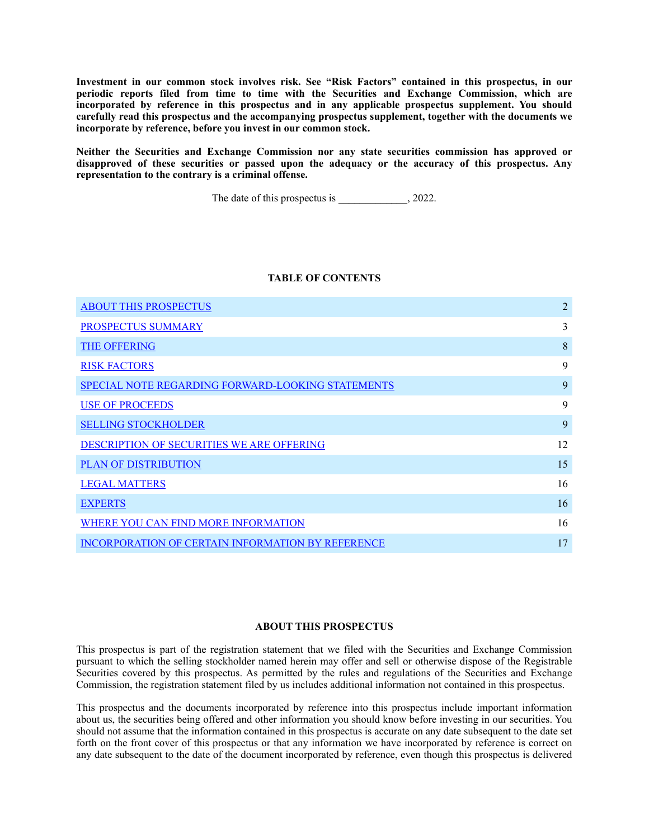**Investment in our common stock involves risk. See "Risk Factors" contained in this prospectus, in our periodic reports filed from time to time with the Securities and Exchange Commission, which are incorporated by reference in this prospectus and in any applicable prospectus supplement. You should carefully read this prospectus and the accompanying prospectus supplement, together with the documents we incorporate by reference, before you invest in our common stock.**

**Neither the Securities and Exchange Commission nor any state securities commission has approved or disapproved of these securities or passed upon the adequacy or the accuracy of this prospectus. Any representation to the contrary is a criminal offense.**

The date of this prospectus is \_\_\_\_\_\_\_\_\_\_\_, 2022.

# **TABLE OF CONTENTS**

| <b>ABOUT THIS PROSPECTUS</b>                             | $\overline{2}$ |
|----------------------------------------------------------|----------------|
| PROSPECTUS SUMMARY                                       | 3              |
| <b>THE OFFERING</b>                                      | 8              |
| <b>RISK FACTORS</b>                                      | 9              |
| <b>SPECIAL NOTE REGARDING FORWARD-LOOKING STATEMENTS</b> | 9              |
| <b>USE OF PROCEEDS</b>                                   | 9              |
| <b>SELLING STOCKHOLDER</b>                               | 9              |
| <b>DESCRIPTION OF SECURITIES WE ARE OFFERING</b>         | 12             |
| <b>PLAN OF DISTRIBUTION</b>                              | 15             |
| <b>LEGAL MATTERS</b>                                     | 16             |
| <b>EXPERTS</b>                                           | 16             |
| WHERE YOU CAN FIND MORE INFORMATION                      | 16             |
| <b>INCORPORATION OF CERTAIN INFORMATION BY REFERENCE</b> | 17             |

# <span id="page-3-0"></span>**ABOUT THIS PROSPECTUS**

This prospectus is part of the registration statement that we filed with the Securities and Exchange Commission pursuant to which the selling stockholder named herein may offer and sell or otherwise dispose of the Registrable Securities covered by this prospectus. As permitted by the rules and regulations of the Securities and Exchange Commission, the registration statement filed by us includes additional information not contained in this prospectus.

This prospectus and the documents incorporated by reference into this prospectus include important information about us, the securities being offered and other information you should know before investing in our securities. You should not assume that the information contained in this prospectus is accurate on any date subsequent to the date set forth on the front cover of this prospectus or that any information we have incorporated by reference is correct on any date subsequent to the date of the document incorporated by reference, even though this prospectus is delivered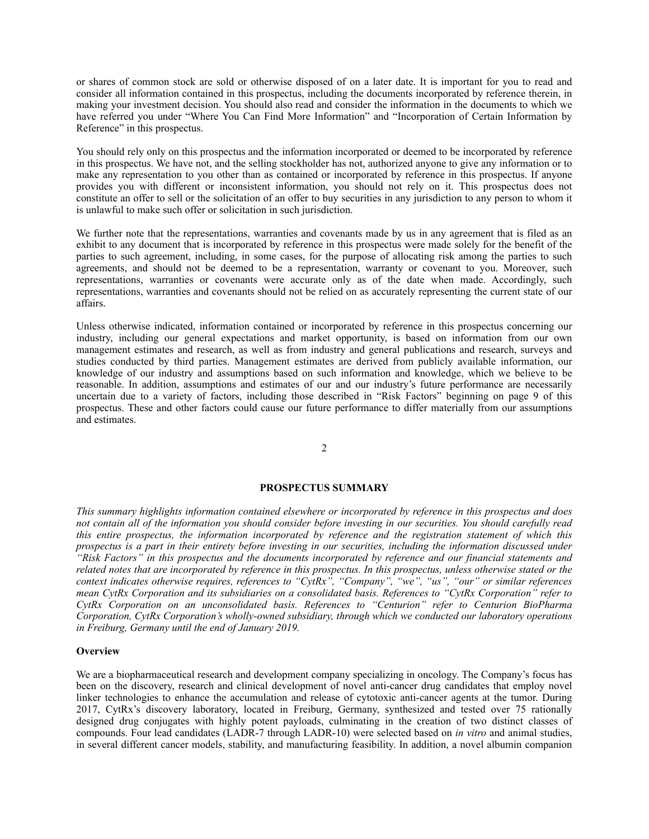or shares of common stock are sold or otherwise disposed of on a later date. It is important for you to read and consider all information contained in this prospectus, including the documents incorporated by reference therein, in making your investment decision. You should also read and consider the information in the documents to which we have referred you under "Where You Can Find More Information" and "Incorporation of Certain Information by Reference" in this prospectus.

You should rely only on this prospectus and the information incorporated or deemed to be incorporated by reference in this prospectus. We have not, and the selling stockholder has not, authorized anyone to give any information or to make any representation to you other than as contained or incorporated by reference in this prospectus. If anyone provides you with different or inconsistent information, you should not rely on it. This prospectus does not constitute an offer to sell or the solicitation of an offer to buy securities in any jurisdiction to any person to whom it is unlawful to make such offer or solicitation in such jurisdiction.

We further note that the representations, warranties and covenants made by us in any agreement that is filed as an exhibit to any document that is incorporated by reference in this prospectus were made solely for the benefit of the parties to such agreement, including, in some cases, for the purpose of allocating risk among the parties to such agreements, and should not be deemed to be a representation, warranty or covenant to you. Moreover, such representations, warranties or covenants were accurate only as of the date when made. Accordingly, such representations, warranties and covenants should not be relied on as accurately representing the current state of our affairs.

Unless otherwise indicated, information contained or incorporated by reference in this prospectus concerning our industry, including our general expectations and market opportunity, is based on information from our own management estimates and research, as well as from industry and general publications and research, surveys and studies conducted by third parties. Management estimates are derived from publicly available information, our knowledge of our industry and assumptions based on such information and knowledge, which we believe to be reasonable. In addition, assumptions and estimates of our and our industry's future performance are necessarily uncertain due to a variety of factors, including those described in "Risk Factors" beginning on page 9 of this prospectus. These and other factors could cause our future performance to differ materially from our assumptions and estimates.

# 2

# <span id="page-4-0"></span>**PROSPECTUS SUMMARY**

*This summary highlights information contained elsewhere or incorporated by reference in this prospectus and does not contain all of the information you should consider before investing in our securities. You should carefully read this entire prospectus, the information incorporated by reference and the registration statement of which this prospectus is a part in their entirety before investing in our securities, including the information discussed under "Risk Factors" in this prospectus and the documents incorporated by reference and our financial statements and related notes that are incorporated by reference in this prospectus. In this prospectus, unless otherwise stated or the context indicates otherwise requires, references to "CytRx", "Company", "we", "us", "our" or similar references mean CytRx Corporation and its subsidiaries on a consolidated basis. References to "CytRx Corporation" refer to CytRx Corporation on an unconsolidated basis. References to "Centurion" refer to Centurion BioPharma Corporation, CytRx Corporation's wholly-owned subsidiary, through which we conducted our laboratory operations in Freiburg, Germany until the end of January 2019.*

# **Overview**

We are a biopharmaceutical research and development company specializing in oncology. The Company's focus has been on the discovery, research and clinical development of novel anti-cancer drug candidates that employ novel linker technologies to enhance the accumulation and release of cytotoxic anti-cancer agents at the tumor. During 2017, CytRx's discovery laboratory, located in Freiburg, Germany, synthesized and tested over 75 rationally designed drug conjugates with highly potent payloads, culminating in the creation of two distinct classes of compounds. Four lead candidates (LADR-7 through LADR-10) were selected based on *in vitro* and animal studies, in several different cancer models, stability, and manufacturing feasibility. In addition, a novel albumin companion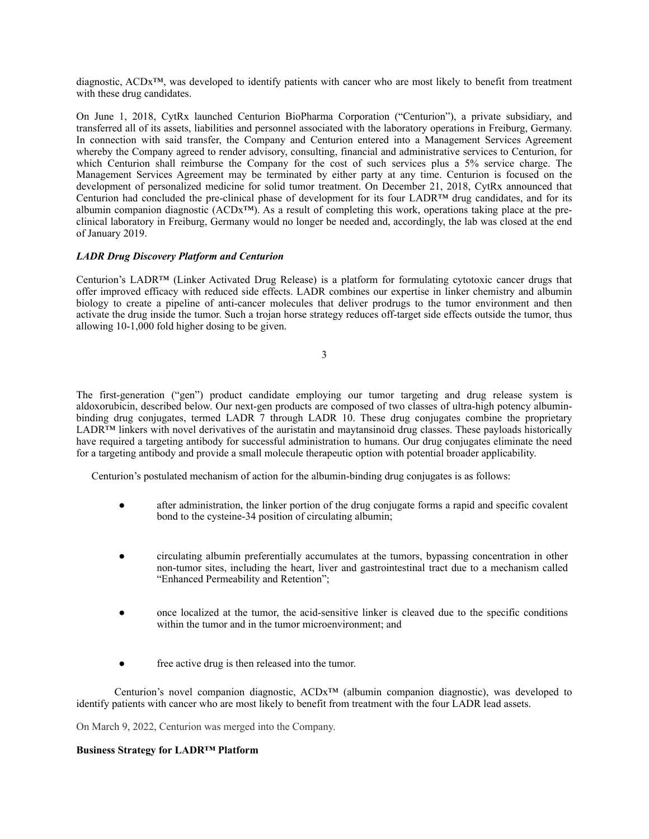diagnostic, ACDx™, was developed to identify patients with cancer who are most likely to benefit from treatment with these drug candidates.

On June 1, 2018, CytRx launched Centurion BioPharma Corporation ("Centurion"), a private subsidiary, and transferred all of its assets, liabilities and personnel associated with the laboratory operations in Freiburg, Germany. In connection with said transfer, the Company and Centurion entered into a Management Services Agreement whereby the Company agreed to render advisory, consulting, financial and administrative services to Centurion, for which Centurion shall reimburse the Company for the cost of such services plus a 5% service charge. The Management Services Agreement may be terminated by either party at any time. Centurion is focused on the development of personalized medicine for solid tumor treatment. On December 21, 2018, CytRx announced that Centurion had concluded the pre-clinical phase of development for its four LADR™ drug candidates, and for its albumin companion diagnostic (ACDx™). As a result of completing this work, operations taking place at the preclinical laboratory in Freiburg, Germany would no longer be needed and, accordingly, the lab was closed at the end of January 2019.

# *LADR Drug Discovery Platform and Centurion*

Centurion's LADR™ (Linker Activated Drug Release) is a platform for formulating cytotoxic cancer drugs that offer improved efficacy with reduced side effects. LADR combines our expertise in linker chemistry and albumin biology to create a pipeline of anti-cancer molecules that deliver prodrugs to the tumor environment and then activate the drug inside the tumor. Such a trojan horse strategy reduces off-target side effects outside the tumor, thus allowing 10-1,000 fold higher dosing to be given.

3

The first-generation ("gen") product candidate employing our tumor targeting and drug release system is aldoxorubicin, described below. Our next-gen products are composed of two classes of ultra-high potency albuminbinding drug conjugates, termed LADR 7 through LADR 10. These drug conjugates combine the proprietary LADR™ linkers with novel derivatives of the auristatin and maytansinoid drug classes. These payloads historically have required a targeting antibody for successful administration to humans. Our drug conjugates eliminate the need for a targeting antibody and provide a small molecule therapeutic option with potential broader applicability.

Centurion's postulated mechanism of action for the albumin-binding drug conjugates is as follows:

- after administration, the linker portion of the drug conjugate forms a rapid and specific covalent bond to the cysteine-34 position of circulating albumin;
- circulating albumin preferentially accumulates at the tumors, bypassing concentration in other non-tumor sites, including the heart, liver and gastrointestinal tract due to a mechanism called "Enhanced Permeability and Retention";
- once localized at the tumor, the acid-sensitive linker is cleaved due to the specific conditions within the tumor and in the tumor microenvironment; and
- free active drug is then released into the tumor.

Centurion's novel companion diagnostic,  $ACDx^{TM}$  (albumin companion diagnostic), was developed to identify patients with cancer who are most likely to benefit from treatment with the four LADR lead assets.

On March 9, 2022, Centurion was merged into the Company.

# **Business Strategy for LADR™ Platform**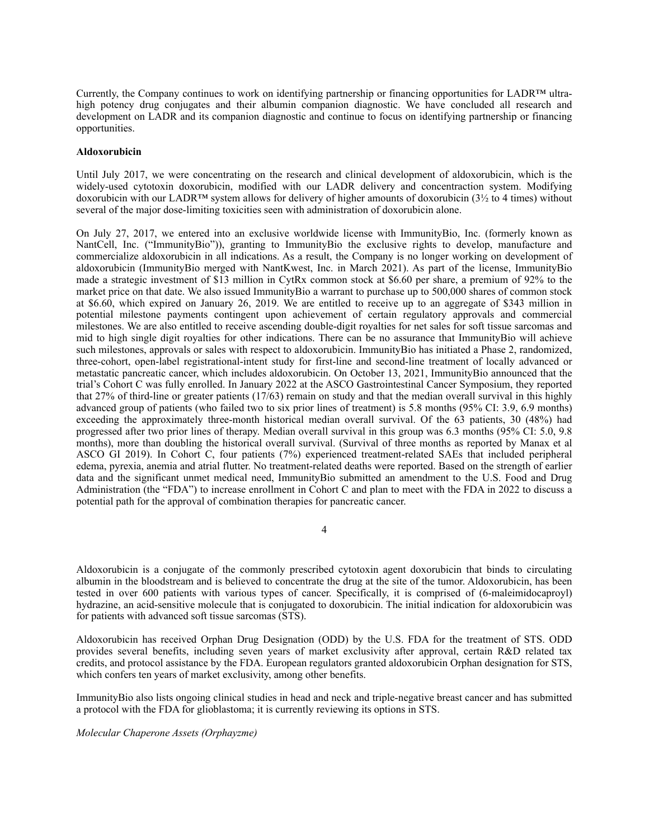Currently, the Company continues to work on identifying partnership or financing opportunities for LADR™ ultrahigh potency drug conjugates and their albumin companion diagnostic. We have concluded all research and development on LADR and its companion diagnostic and continue to focus on identifying partnership or financing opportunities.

# **Aldoxorubicin**

Until July 2017, we were concentrating on the research and clinical development of aldoxorubicin, which is the widely-used cytotoxin doxorubicin, modified with our LADR delivery and concentraction system. Modifying doxorubicin with our LADR™ system allows for delivery of higher amounts of doxorubicin ( $3\frac{1}{2}$  to 4 times) without several of the major dose-limiting toxicities seen with administration of doxorubicin alone.

On July 27, 2017, we entered into an exclusive worldwide license with ImmunityBio, Inc. (formerly known as NantCell, Inc. ("ImmunityBio")), granting to ImmunityBio the exclusive rights to develop, manufacture and commercialize aldoxorubicin in all indications. As a result, the Company is no longer working on development of aldoxorubicin (ImmunityBio merged with NantKwest, Inc. in March 2021). As part of the license, ImmunityBio made a strategic investment of \$13 million in CytRx common stock at \$6.60 per share, a premium of 92% to the market price on that date. We also issued ImmunityBio a warrant to purchase up to 500,000 shares of common stock at \$6.60, which expired on January 26, 2019. We are entitled to receive up to an aggregate of \$343 million in potential milestone payments contingent upon achievement of certain regulatory approvals and commercial milestones. We are also entitled to receive ascending double-digit royalties for net sales for soft tissue sarcomas and mid to high single digit royalties for other indications. There can be no assurance that ImmunityBio will achieve such milestones, approvals or sales with respect to aldoxorubicin. ImmunityBio has initiated a Phase 2, randomized, three-cohort, open-label registrational-intent study for first-line and second-line treatment of locally advanced or metastatic pancreatic cancer, which includes aldoxorubicin. On October 13, 2021, ImmunityBio announced that the trial's Cohort C was fully enrolled. In January 2022 at the ASCO Gastrointestinal Cancer Symposium, they reported that 27% of third-line or greater patients (17/63) remain on study and that the median overall survival in this highly advanced group of patients (who failed two to six prior lines of treatment) is 5.8 months (95% CI: 3.9, 6.9 months) exceeding the approximately three-month historical median overall survival. Of the 63 patients, 30 (48%) had progressed after two prior lines of therapy. Median overall survival in this group was 6.3 months (95% CI: 5.0, 9.8 months), more than doubling the historical overall survival. (Survival of three months as reported by Manax et al ASCO GI 2019). In Cohort C, four patients (7%) experienced treatment-related SAEs that included peripheral edema, pyrexia, anemia and atrial flutter. No treatment-related deaths were reported. Based on the strength of earlier data and the significant unmet medical need, ImmunityBio submitted an amendment to the U.S. Food and Drug Administration (the "FDA") to increase enrollment in Cohort C and plan to meet with the FDA in 2022 to discuss a potential path for the approval of combination therapies for pancreatic cancer.

4

Aldoxorubicin is a conjugate of the commonly prescribed cytotoxin agent doxorubicin that binds to circulating albumin in the bloodstream and is believed to concentrate the drug at the site of the tumor. Aldoxorubicin, has been tested in over 600 patients with various types of cancer. Specifically, it is comprised of (6-maleimidocaproyl) hydrazine, an acid-sensitive molecule that is conjugated to doxorubicin. The initial indication for aldoxorubicin was for patients with advanced soft tissue sarcomas (STS).

Aldoxorubicin has received Orphan Drug Designation (ODD) by the U.S. FDA for the treatment of STS. ODD provides several benefits, including seven years of market exclusivity after approval, certain R&D related tax credits, and protocol assistance by the FDA. European regulators granted aldoxorubicin Orphan designation for STS, which confers ten years of market exclusivity, among other benefits.

ImmunityBio also lists ongoing clinical studies in head and neck and triple-negative breast cancer and has submitted a protocol with the FDA for glioblastoma; it is currently reviewing its options in STS.

*Molecular Chaperone Assets (Orphayzme)*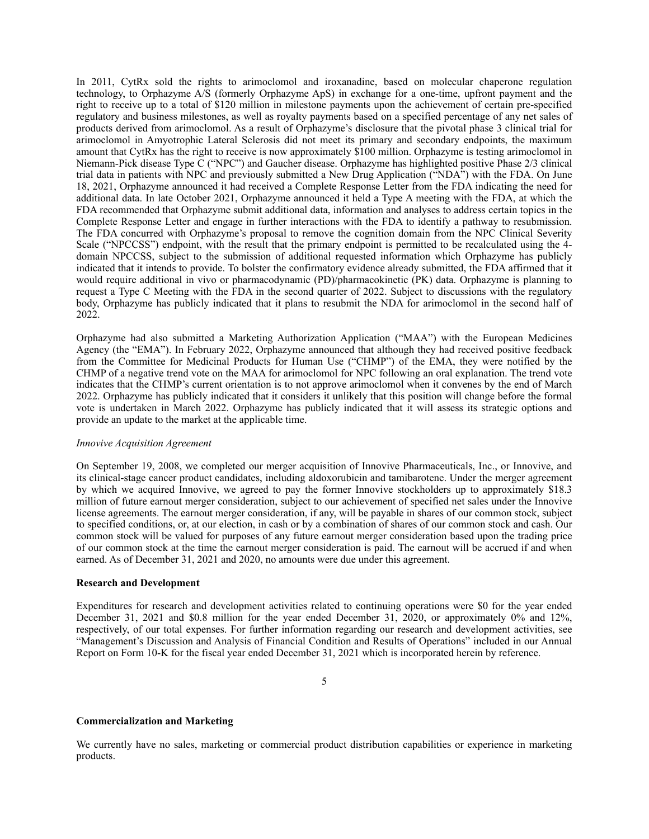In 2011, CytRx sold the rights to arimoclomol and iroxanadine, based on molecular chaperone regulation technology, to Orphazyme A/S (formerly Orphazyme ApS) in exchange for a one-time, upfront payment and the right to receive up to a total of \$120 million in milestone payments upon the achievement of certain pre-specified regulatory and business milestones, as well as royalty payments based on a specified percentage of any net sales of products derived from arimoclomol. As a result of Orphazyme's disclosure that the pivotal phase 3 clinical trial for arimoclomol in Amyotrophic Lateral Sclerosis did not meet its primary and secondary endpoints, the maximum amount that CytRx has the right to receive is now approximately \$100 million. Orphazyme is testing arimoclomol in Niemann-Pick disease Type C ("NPC") and Gaucher disease. Orphazyme has highlighted positive Phase 2/3 clinical trial data in patients with NPC and previously submitted a New Drug Application ("NDA") with the FDA. On June 18, 2021, Orphazyme announced it had received a Complete Response Letter from the FDA indicating the need for additional data. In late October 2021, Orphazyme announced it held a Type A meeting with the FDA, at which the FDA recommended that Orphazyme submit additional data, information and analyses to address certain topics in the Complete Response Letter and engage in further interactions with the FDA to identify a pathway to resubmission. The FDA concurred with Orphazyme's proposal to remove the cognition domain from the NPC Clinical Severity Scale ("NPCCSS") endpoint, with the result that the primary endpoint is permitted to be recalculated using the 4domain NPCCSS, subject to the submission of additional requested information which Orphazyme has publicly indicated that it intends to provide. To bolster the confirmatory evidence already submitted, the FDA affirmed that it would require additional in vivo or pharmacodynamic (PD)/pharmacokinetic (PK) data. Orphazyme is planning to request a Type C Meeting with the FDA in the second quarter of 2022. Subject to discussions with the regulatory body, Orphazyme has publicly indicated that it plans to resubmit the NDA for arimoclomol in the second half of 2022.

Orphazyme had also submitted a Marketing Authorization Application ("MAA") with the European Medicines Agency (the "EMA"). In February 2022, Orphazyme announced that although they had received positive feedback from the Committee for Medicinal Products for Human Use ("CHMP") of the EMA, they were notified by the CHMP of a negative trend vote on the MAA for arimoclomol for NPC following an oral explanation. The trend vote indicates that the CHMP's current orientation is to not approve arimoclomol when it convenes by the end of March 2022. Orphazyme has publicly indicated that it considers it unlikely that this position will change before the formal vote is undertaken in March 2022. Orphazyme has publicly indicated that it will assess its strategic options and provide an update to the market at the applicable time.

# *Innovive Acquisition Agreement*

On September 19, 2008, we completed our merger acquisition of Innovive Pharmaceuticals, Inc., or Innovive, and its clinical-stage cancer product candidates, including aldoxorubicin and tamibarotene. Under the merger agreement by which we acquired Innovive, we agreed to pay the former Innovive stockholders up to approximately \$18.3 million of future earnout merger consideration, subject to our achievement of specified net sales under the Innovive license agreements. The earnout merger consideration, if any, will be payable in shares of our common stock, subject to specified conditions, or, at our election, in cash or by a combination of shares of our common stock and cash. Our common stock will be valued for purposes of any future earnout merger consideration based upon the trading price of our common stock at the time the earnout merger consideration is paid. The earnout will be accrued if and when earned. As of December 31, 2021 and 2020, no amounts were due under this agreement.

# **Research and Development**

Expenditures for research and development activities related to continuing operations were \$0 for the year ended December 31, 2021 and \$0.8 million for the year ended December 31, 2020, or approximately 0% and 12%, respectively, of our total expenses. For further information regarding our research and development activities, see "Management's Discussion and Analysis of Financial Condition and Results of Operations" included in our Annual Report on Form 10-K for the fiscal year ended December 31, 2021 which is incorporated herein by reference.

#### **Commercialization and Marketing**

We currently have no sales, marketing or commercial product distribution capabilities or experience in marketing products.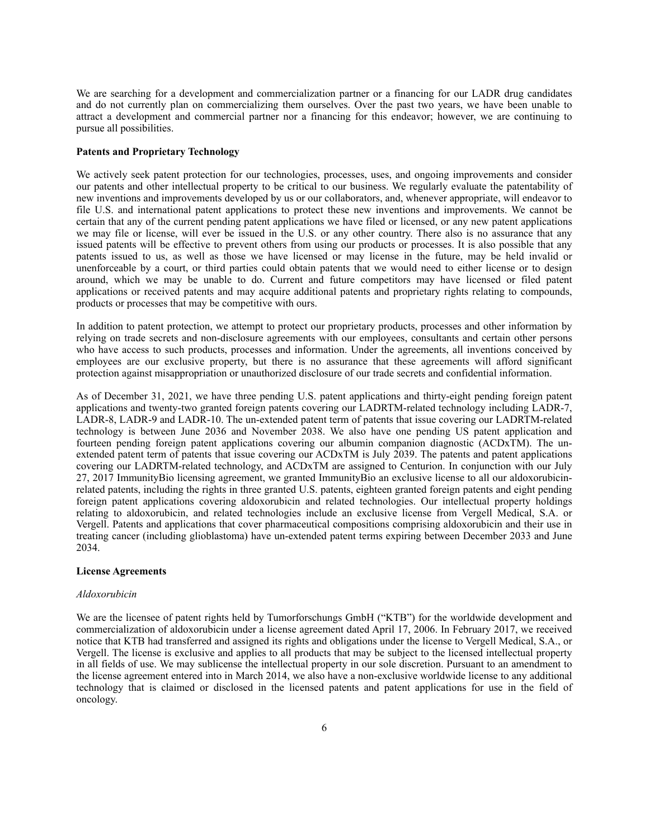We are searching for a development and commercialization partner or a financing for our LADR drug candidates and do not currently plan on commercializing them ourselves. Over the past two years, we have been unable to attract a development and commercial partner nor a financing for this endeavor; however, we are continuing to pursue all possibilities.

# **Patents and Proprietary Technology**

We actively seek patent protection for our technologies, processes, uses, and ongoing improvements and consider our patents and other intellectual property to be critical to our business. We regularly evaluate the patentability of new inventions and improvements developed by us or our collaborators, and, whenever appropriate, will endeavor to file U.S. and international patent applications to protect these new inventions and improvements. We cannot be certain that any of the current pending patent applications we have filed or licensed, or any new patent applications we may file or license, will ever be issued in the U.S. or any other country. There also is no assurance that any issued patents will be effective to prevent others from using our products or processes. It is also possible that any patents issued to us, as well as those we have licensed or may license in the future, may be held invalid or unenforceable by a court, or third parties could obtain patents that we would need to either license or to design around, which we may be unable to do. Current and future competitors may have licensed or filed patent applications or received patents and may acquire additional patents and proprietary rights relating to compounds, products or processes that may be competitive with ours.

In addition to patent protection, we attempt to protect our proprietary products, processes and other information by relying on trade secrets and non-disclosure agreements with our employees, consultants and certain other persons who have access to such products, processes and information. Under the agreements, all inventions conceived by employees are our exclusive property, but there is no assurance that these agreements will afford significant protection against misappropriation or unauthorized disclosure of our trade secrets and confidential information.

As of December 31, 2021, we have three pending U.S. patent applications and thirty-eight pending foreign patent applications and twenty-two granted foreign patents covering our LADRTM-related technology including LADR-7, LADR-8, LADR-9 and LADR-10. The un-extended patent term of patents that issue covering our LADRTM-related technology is between June 2036 and November 2038. We also have one pending US patent application and fourteen pending foreign patent applications covering our albumin companion diagnostic (ACDxTM). The unextended patent term of patents that issue covering our ACDxTM is July 2039. The patents and patent applications covering our LADRTM-related technology, and ACDxTM are assigned to Centurion. In conjunction with our July 27, 2017 ImmunityBio licensing agreement, we granted ImmunityBio an exclusive license to all our aldoxorubicinrelated patents, including the rights in three granted U.S. patents, eighteen granted foreign patents and eight pending foreign patent applications covering aldoxorubicin and related technologies. Our intellectual property holdings relating to aldoxorubicin, and related technologies include an exclusive license from Vergell Medical, S.A. or Vergell. Patents and applications that cover pharmaceutical compositions comprising aldoxorubicin and their use in treating cancer (including glioblastoma) have un-extended patent terms expiring between December 2033 and June 2034.

#### **License Agreements**

#### *Aldoxorubicin*

We are the licensee of patent rights held by Tumorforschungs GmbH ("KTB") for the worldwide development and commercialization of aldoxorubicin under a license agreement dated April 17, 2006. In February 2017, we received notice that KTB had transferred and assigned its rights and obligations under the license to Vergell Medical, S.A., or Vergell. The license is exclusive and applies to all products that may be subject to the licensed intellectual property in all fields of use. We may sublicense the intellectual property in our sole discretion. Pursuant to an amendment to the license agreement entered into in March 2014, we also have a non-exclusive worldwide license to any additional technology that is claimed or disclosed in the licensed patents and patent applications for use in the field of oncology.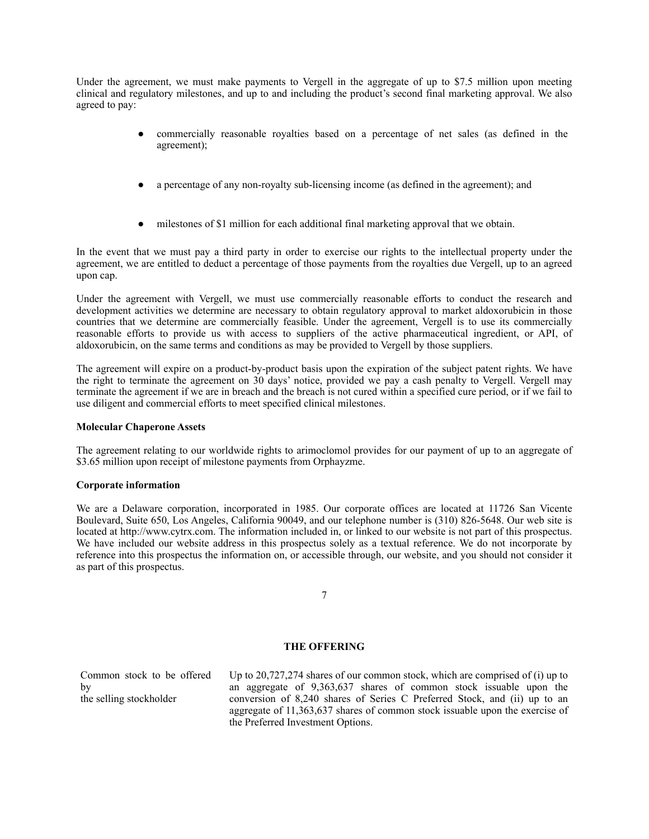Under the agreement, we must make payments to Vergell in the aggregate of up to \$7.5 million upon meeting clinical and regulatory milestones, and up to and including the product's second final marketing approval. We also agreed to pay:

- commercially reasonable royalties based on a percentage of net sales (as defined in the agreement);
- a percentage of any non-royalty sub-licensing income (as defined in the agreement); and
- milestones of \$1 million for each additional final marketing approval that we obtain.

In the event that we must pay a third party in order to exercise our rights to the intellectual property under the agreement, we are entitled to deduct a percentage of those payments from the royalties due Vergell, up to an agreed upon cap.

Under the agreement with Vergell, we must use commercially reasonable efforts to conduct the research and development activities we determine are necessary to obtain regulatory approval to market aldoxorubicin in those countries that we determine are commercially feasible. Under the agreement, Vergell is to use its commercially reasonable efforts to provide us with access to suppliers of the active pharmaceutical ingredient, or API, of aldoxorubicin, on the same terms and conditions as may be provided to Vergell by those suppliers.

The agreement will expire on a product-by-product basis upon the expiration of the subject patent rights. We have the right to terminate the agreement on 30 days' notice, provided we pay a cash penalty to Vergell. Vergell may terminate the agreement if we are in breach and the breach is not cured within a specified cure period, or if we fail to use diligent and commercial efforts to meet specified clinical milestones.

# **Molecular Chaperone Assets**

The agreement relating to our worldwide rights to arimoclomol provides for our payment of up to an aggregate of \$3.65 million upon receipt of milestone payments from Orphayzme.

# **Corporate information**

We are a Delaware corporation, incorporated in 1985. Our corporate offices are located at 11726 San Vicente Boulevard, Suite 650, Los Angeles, California 90049, and our telephone number is (310) 826-5648. Our web site is located at http://www.cytrx.com. The information included in, or linked to our website is not part of this prospectus. We have included our website address in this prospectus solely as a textual reference. We do not incorporate by reference into this prospectus the information on, or accessible through, our website, and you should not consider it as part of this prospectus.

7

# <span id="page-9-0"></span>**THE OFFERING**

Common stock to be offered by the selling stockholder

Up to 20,727,274 shares of our common stock, which are comprised of (i) up to an aggregate of 9,363,637 shares of common stock issuable upon the conversion of 8,240 shares of Series C Preferred Stock, and (ii) up to an aggregate of 11,363,637 shares of common stock issuable upon the exercise of the Preferred Investment Options.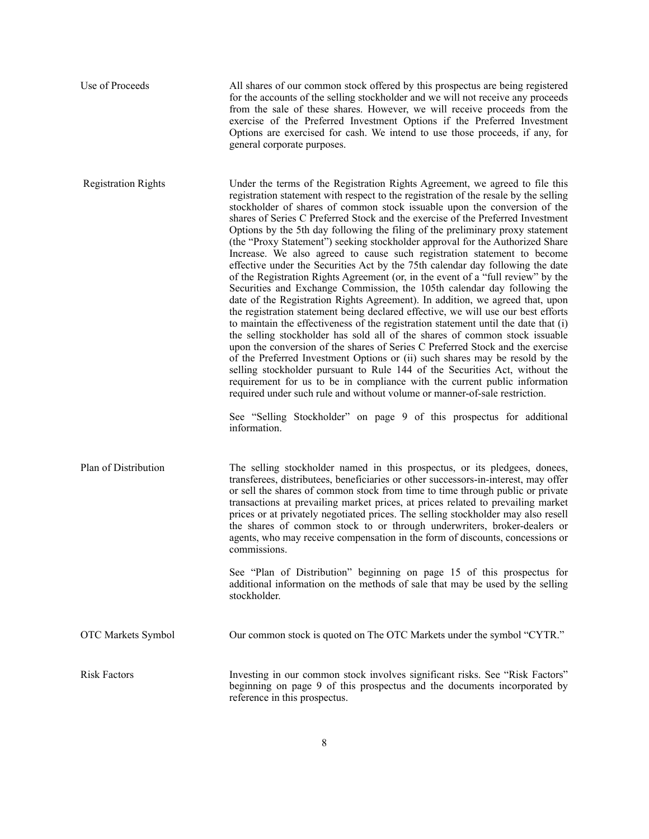| Use of Proceeds            | All shares of our common stock offered by this prospectus are being registered<br>for the accounts of the selling stockholder and we will not receive any proceeds<br>from the sale of these shares. However, we will receive proceeds from the<br>exercise of the Preferred Investment Options if the Preferred Investment<br>Options are exercised for cash. We intend to use those proceeds, if any, for<br>general corporate purposes.                                                                                                                                                                                                                                                                                                                                                                                                                                                                                                                                                                                                                                                                                                                                                                                                                                                                                                                                                                                                                                                                                                                                                                                                                                             |
|----------------------------|----------------------------------------------------------------------------------------------------------------------------------------------------------------------------------------------------------------------------------------------------------------------------------------------------------------------------------------------------------------------------------------------------------------------------------------------------------------------------------------------------------------------------------------------------------------------------------------------------------------------------------------------------------------------------------------------------------------------------------------------------------------------------------------------------------------------------------------------------------------------------------------------------------------------------------------------------------------------------------------------------------------------------------------------------------------------------------------------------------------------------------------------------------------------------------------------------------------------------------------------------------------------------------------------------------------------------------------------------------------------------------------------------------------------------------------------------------------------------------------------------------------------------------------------------------------------------------------------------------------------------------------------------------------------------------------|
| <b>Registration Rights</b> | Under the terms of the Registration Rights Agreement, we agreed to file this<br>registration statement with respect to the registration of the resale by the selling<br>stockholder of shares of common stock issuable upon the conversion of the<br>shares of Series C Preferred Stock and the exercise of the Preferred Investment<br>Options by the 5th day following the filing of the preliminary proxy statement<br>(the "Proxy Statement") seeking stockholder approval for the Authorized Share<br>Increase. We also agreed to cause such registration statement to become<br>effective under the Securities Act by the 75th calendar day following the date<br>of the Registration Rights Agreement (or, in the event of a "full review" by the<br>Securities and Exchange Commission, the 105th calendar day following the<br>date of the Registration Rights Agreement). In addition, we agreed that, upon<br>the registration statement being declared effective, we will use our best efforts<br>to maintain the effectiveness of the registration statement until the date that (i)<br>the selling stockholder has sold all of the shares of common stock issuable<br>upon the conversion of the shares of Series C Preferred Stock and the exercise<br>of the Preferred Investment Options or (ii) such shares may be resold by the<br>selling stockholder pursuant to Rule 144 of the Securities Act, without the<br>requirement for us to be in compliance with the current public information<br>required under such rule and without volume or manner-of-sale restriction.<br>See "Selling Stockholder" on page 9 of this prospectus for additional<br>information. |
| Plan of Distribution       | The selling stockholder named in this prospectus, or its pledgees, donees,<br>transferees, distributees, beneficiaries or other successors-in-interest, may offer<br>or sell the shares of common stock from time to time through public or private<br>transactions at prevailing market prices, at prices related to prevailing market<br>prices or at privately negotiated prices. The selling stockholder may also resell<br>the shares of common stock to or through underwriters, broker-dealers or<br>agents, who may receive compensation in the form of discounts, concessions or<br>commissions.<br>See "Plan of Distribution" beginning on page 15 of this prospectus for                                                                                                                                                                                                                                                                                                                                                                                                                                                                                                                                                                                                                                                                                                                                                                                                                                                                                                                                                                                                    |
|                            | additional information on the methods of sale that may be used by the selling<br>stockholder.                                                                                                                                                                                                                                                                                                                                                                                                                                                                                                                                                                                                                                                                                                                                                                                                                                                                                                                                                                                                                                                                                                                                                                                                                                                                                                                                                                                                                                                                                                                                                                                          |
| OTC Markets Symbol         | Our common stock is quoted on The OTC Markets under the symbol "CYTR."                                                                                                                                                                                                                                                                                                                                                                                                                                                                                                                                                                                                                                                                                                                                                                                                                                                                                                                                                                                                                                                                                                                                                                                                                                                                                                                                                                                                                                                                                                                                                                                                                 |
| <b>Risk Factors</b>        | Investing in our common stock involves significant risks. See "Risk Factors"<br>beginning on page 9 of this prospectus and the documents incorporated by<br>reference in this prospectus.                                                                                                                                                                                                                                                                                                                                                                                                                                                                                                                                                                                                                                                                                                                                                                                                                                                                                                                                                                                                                                                                                                                                                                                                                                                                                                                                                                                                                                                                                              |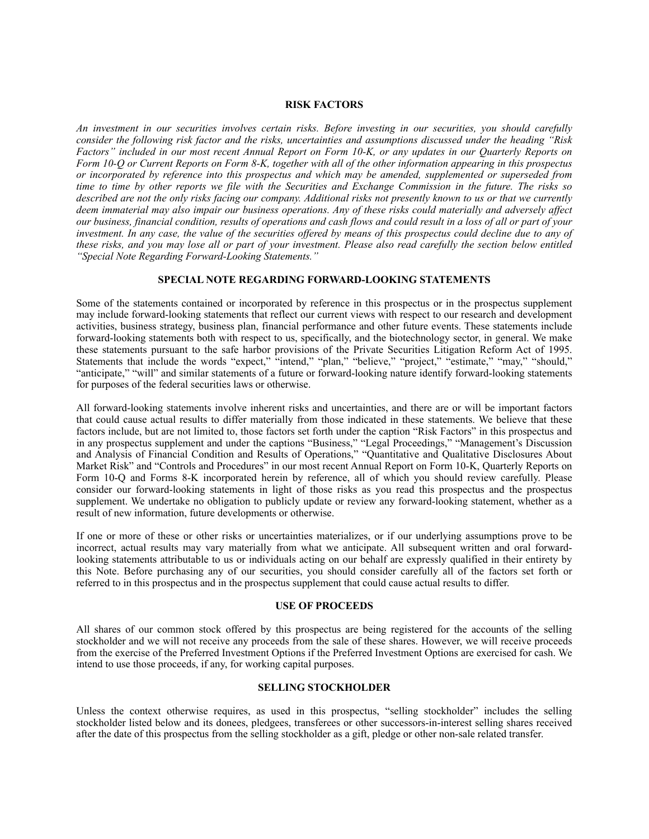# <span id="page-11-0"></span>**RISK FACTORS**

*An investment in our securities involves certain risks. Before investing in our securities, you should carefully consider the following risk factor and the risks, uncertainties and assumptions discussed under the heading "Risk Factors" included in our most recent Annual Report on Form 10-K, or any updates in our Quarterly Reports on Form 10-Q or Current Reports on Form 8-K, together with all of the other information appearing in this prospectus or incorporated by reference into this prospectus and which may be amended, supplemented or superseded from time to time by other reports we file with the Securities and Exchange Commission in the future. The risks so described are not the only risks facing our company. Additional risks not presently known to us or that we currently deem immaterial may also impair our business operations. Any of these risks could materially and adversely affect our business, financial condition, results of operations and cash flows and could result in a loss of all or part of your*  investment. In any case, the value of the securities offered by means of this prospectus could decline due to any of *these risks, and you may lose all or part of your investment. Please also read carefully the section below entitled "Special Note Regarding Forward-Looking Statements."*

# <span id="page-11-1"></span>**SPECIAL NOTE REGARDING FORWARD-LOOKING STATEMENTS**

Some of the statements contained or incorporated by reference in this prospectus or in the prospectus supplement may include forward-looking statements that reflect our current views with respect to our research and development activities, business strategy, business plan, financial performance and other future events. These statements include forward-looking statements both with respect to us, specifically, and the biotechnology sector, in general. We make these statements pursuant to the safe harbor provisions of the Private Securities Litigation Reform Act of 1995. Statements that include the words "expect," "intend," "plan," "believe," "project," "estimate," "may," "should," "anticipate," "will" and similar statements of a future or forward-looking nature identify forward-looking statements for purposes of the federal securities laws or otherwise.

All forward-looking statements involve inherent risks and uncertainties, and there are or will be important factors that could cause actual results to differ materially from those indicated in these statements. We believe that these factors include, but are not limited to, those factors set forth under the caption "Risk Factors" in this prospectus and in any prospectus supplement and under the captions "Business," "Legal Proceedings," "Management's Discussion and Analysis of Financial Condition and Results of Operations," "Quantitative and Qualitative Disclosures About Market Risk" and "Controls and Procedures" in our most recent Annual Report on Form 10-K, Quarterly Reports on Form 10-Q and Forms 8-K incorporated herein by reference, all of which you should review carefully. Please consider our forward-looking statements in light of those risks as you read this prospectus and the prospectus supplement. We undertake no obligation to publicly update or review any forward-looking statement, whether as a result of new information, future developments or otherwise.

If one or more of these or other risks or uncertainties materializes, or if our underlying assumptions prove to be incorrect, actual results may vary materially from what we anticipate. All subsequent written and oral forwardlooking statements attributable to us or individuals acting on our behalf are expressly qualified in their entirety by this Note. Before purchasing any of our securities, you should consider carefully all of the factors set forth or referred to in this prospectus and in the prospectus supplement that could cause actual results to differ.

# <span id="page-11-2"></span>**USE OF PROCEEDS**

All shares of our common stock offered by this prospectus are being registered for the accounts of the selling stockholder and we will not receive any proceeds from the sale of these shares. However, we will receive proceeds from the exercise of the Preferred Investment Options if the Preferred Investment Options are exercised for cash. We intend to use those proceeds, if any, for working capital purposes.

# <span id="page-11-3"></span>**SELLING STOCKHOLDER**

Unless the context otherwise requires, as used in this prospectus, "selling stockholder" includes the selling stockholder listed below and its donees, pledgees, transferees or other successors-in-interest selling shares received after the date of this prospectus from the selling stockholder as a gift, pledge or other non-sale related transfer.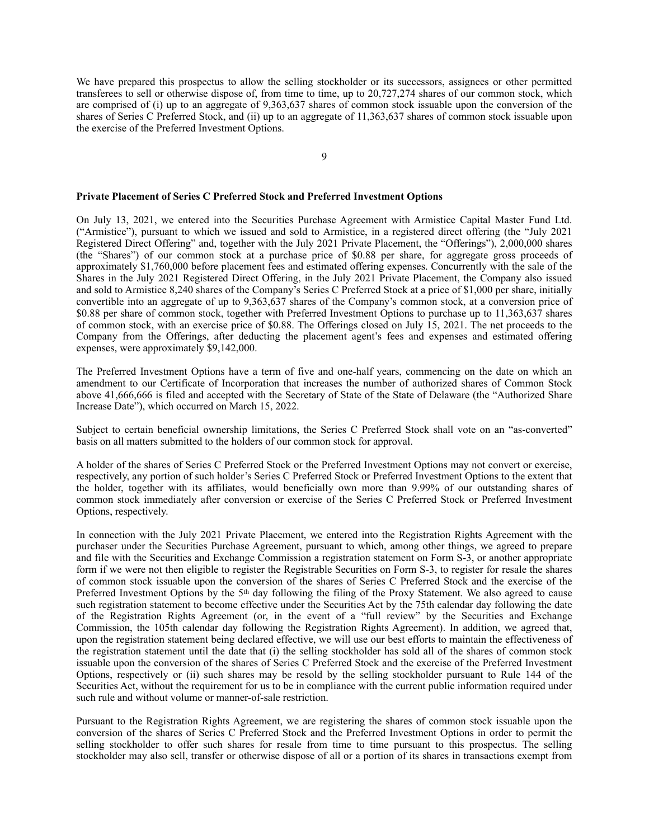We have prepared this prospectus to allow the selling stockholder or its successors, assignees or other permitted transferees to sell or otherwise dispose of, from time to time, up to 20,727,274 shares of our common stock, which are comprised of (i) up to an aggregate of 9,363,637 shares of common stock issuable upon the conversion of the shares of Series C Preferred Stock, and (ii) up to an aggregate of 11,363,637 shares of common stock issuable upon the exercise of the Preferred Investment Options.

#### **Private Placement of Series C Preferred Stock and Preferred Investment Options**

On July 13, 2021, we entered into the Securities Purchase Agreement with Armistice Capital Master Fund Ltd. ("Armistice"), pursuant to which we issued and sold to Armistice, in a registered direct offering (the "July 2021 Registered Direct Offering" and, together with the July 2021 Private Placement, the "Offerings"), 2,000,000 shares (the "Shares") of our common stock at a purchase price of \$0.88 per share, for aggregate gross proceeds of approximately \$1,760,000 before placement fees and estimated offering expenses. Concurrently with the sale of the Shares in the July 2021 Registered Direct Offering, in the July 2021 Private Placement, the Company also issued and sold to Armistice 8,240 shares of the Company's Series C Preferred Stock at a price of \$1,000 per share, initially convertible into an aggregate of up to 9,363,637 shares of the Company's common stock, at a conversion price of \$0.88 per share of common stock, together with Preferred Investment Options to purchase up to 11,363,637 shares of common stock, with an exercise price of \$0.88. The Offerings closed on July 15, 2021. The net proceeds to the Company from the Offerings, after deducting the placement agent's fees and expenses and estimated offering expenses, were approximately \$9,142,000.

The Preferred Investment Options have a term of five and one-half years, commencing on the date on which an amendment to our Certificate of Incorporation that increases the number of authorized shares of Common Stock above 41,666,666 is filed and accepted with the Secretary of State of the State of Delaware (the "Authorized Share Increase Date"), which occurred on March 15, 2022.

Subject to certain beneficial ownership limitations, the Series C Preferred Stock shall vote on an "as-converted" basis on all matters submitted to the holders of our common stock for approval.

A holder of the shares of Series C Preferred Stock or the Preferred Investment Options may not convert or exercise, respectively, any portion of such holder's Series C Preferred Stock or Preferred Investment Options to the extent that the holder, together with its affiliates, would beneficially own more than 9.99% of our outstanding shares of common stock immediately after conversion or exercise of the Series C Preferred Stock or Preferred Investment Options, respectively.

In connection with the July 2021 Private Placement, we entered into the Registration Rights Agreement with the purchaser under the Securities Purchase Agreement, pursuant to which, among other things, we agreed to prepare and file with the Securities and Exchange Commission a registration statement on Form S-3, or another appropriate form if we were not then eligible to register the Registrable Securities on Form S-3, to register for resale the shares of common stock issuable upon the conversion of the shares of Series C Preferred Stock and the exercise of the Preferred Investment Options by the 5th day following the filing of the Proxy Statement. We also agreed to cause such registration statement to become effective under the Securities Act by the 75th calendar day following the date of the Registration Rights Agreement (or, in the event of a "full review" by the Securities and Exchange Commission, the 105th calendar day following the Registration Rights Agreement). In addition, we agreed that, upon the registration statement being declared effective, we will use our best efforts to maintain the effectiveness of the registration statement until the date that (i) the selling stockholder has sold all of the shares of common stock issuable upon the conversion of the shares of Series C Preferred Stock and the exercise of the Preferred Investment Options, respectively or (ii) such shares may be resold by the selling stockholder pursuant to Rule 144 of the Securities Act, without the requirement for us to be in compliance with the current public information required under such rule and without volume or manner-of-sale restriction.

Pursuant to the Registration Rights Agreement, we are registering the shares of common stock issuable upon the conversion of the shares of Series C Preferred Stock and the Preferred Investment Options in order to permit the selling stockholder to offer such shares for resale from time to time pursuant to this prospectus. The selling stockholder may also sell, transfer or otherwise dispose of all or a portion of its shares in transactions exempt from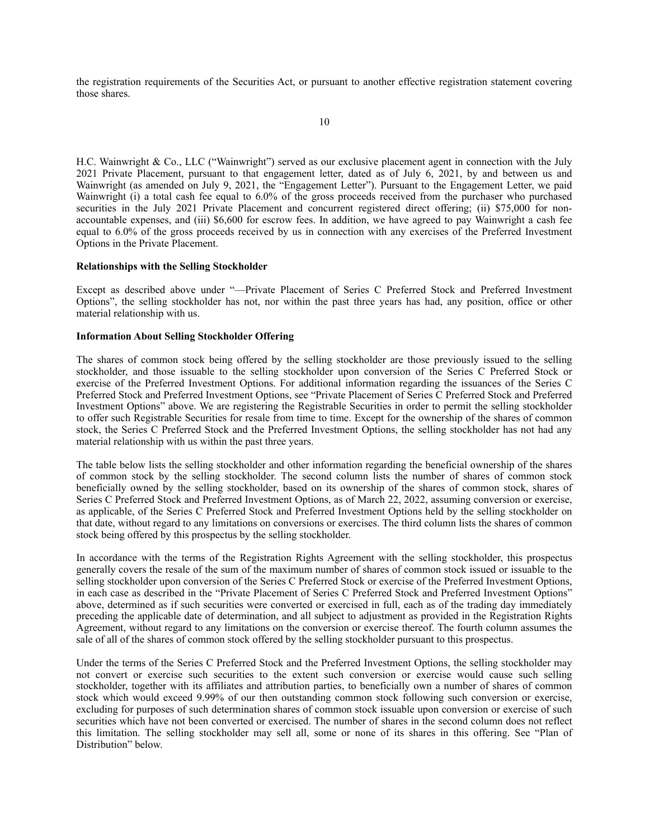the registration requirements of the Securities Act, or pursuant to another effective registration statement covering those shares.

H.C. Wainwright & Co., LLC ("Wainwright") served as our exclusive placement agent in connection with the July 2021 Private Placement, pursuant to that engagement letter, dated as of July 6, 2021, by and between us and Wainwright (as amended on July 9, 2021, the "Engagement Letter"). Pursuant to the Engagement Letter, we paid Wainwright (i) a total cash fee equal to 6.0% of the gross proceeds received from the purchaser who purchased securities in the July 2021 Private Placement and concurrent registered direct offering; (ii) \$75,000 for nonaccountable expenses, and (iii) \$6,600 for escrow fees. In addition, we have agreed to pay Wainwright a cash fee equal to 6.0% of the gross proceeds received by us in connection with any exercises of the Preferred Investment Options in the Private Placement.

# **Relationships with the Selling Stockholder**

Except as described above under "—Private Placement of Series C Preferred Stock and Preferred Investment Options", the selling stockholder has not, nor within the past three years has had, any position, office or other material relationship with us.

# **Information About Selling Stockholder Offering**

The shares of common stock being offered by the selling stockholder are those previously issued to the selling stockholder, and those issuable to the selling stockholder upon conversion of the Series C Preferred Stock or exercise of the Preferred Investment Options. For additional information regarding the issuances of the Series C Preferred Stock and Preferred Investment Options, see "Private Placement of Series C Preferred Stock and Preferred Investment Options" above. We are registering the Registrable Securities in order to permit the selling stockholder to offer such Registrable Securities for resale from time to time. Except for the ownership of the shares of common stock, the Series C Preferred Stock and the Preferred Investment Options, the selling stockholder has not had any material relationship with us within the past three years.

The table below lists the selling stockholder and other information regarding the beneficial ownership of the shares of common stock by the selling stockholder. The second column lists the number of shares of common stock beneficially owned by the selling stockholder, based on its ownership of the shares of common stock, shares of Series C Preferred Stock and Preferred Investment Options, as of March 22, 2022, assuming conversion or exercise, as applicable, of the Series C Preferred Stock and Preferred Investment Options held by the selling stockholder on that date, without regard to any limitations on conversions or exercises. The third column lists the shares of common stock being offered by this prospectus by the selling stockholder.

In accordance with the terms of the Registration Rights Agreement with the selling stockholder, this prospectus generally covers the resale of the sum of the maximum number of shares of common stock issued or issuable to the selling stockholder upon conversion of the Series C Preferred Stock or exercise of the Preferred Investment Options, in each case as described in the "Private Placement of Series C Preferred Stock and Preferred Investment Options" above, determined as if such securities were converted or exercised in full, each as of the trading day immediately preceding the applicable date of determination, and all subject to adjustment as provided in the Registration Rights Agreement, without regard to any limitations on the conversion or exercise thereof. The fourth column assumes the sale of all of the shares of common stock offered by the selling stockholder pursuant to this prospectus.

Under the terms of the Series C Preferred Stock and the Preferred Investment Options, the selling stockholder may not convert or exercise such securities to the extent such conversion or exercise would cause such selling stockholder, together with its affiliates and attribution parties, to beneficially own a number of shares of common stock which would exceed 9.99% of our then outstanding common stock following such conversion or exercise, excluding for purposes of such determination shares of common stock issuable upon conversion or exercise of such securities which have not been converted or exercised. The number of shares in the second column does not reflect this limitation. The selling stockholder may sell all, some or none of its shares in this offering. See "Plan of Distribution" below.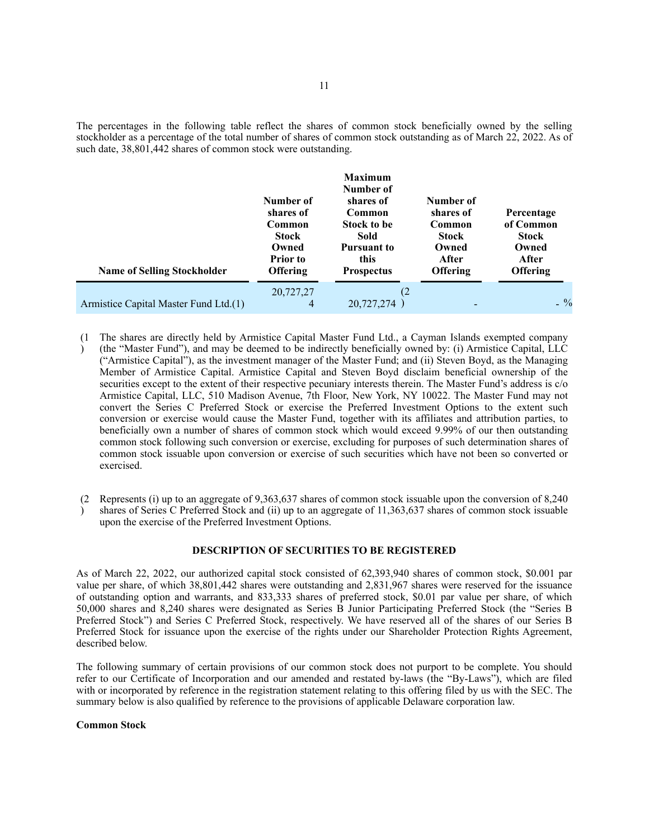The percentages in the following table reflect the shares of common stock beneficially owned by the selling stockholder as a percentage of the total number of shares of common stock outstanding as of March 22, 2022. As of such date, 38,801,442 shares of common stock were outstanding.

| <b>Name of Selling Stockholder</b>    | Number of<br>shares of<br>Common<br><b>Stock</b><br>Owned<br><b>Prior</b> to<br><b>Offering</b> | <b>Maximum</b><br>Number of<br>shares of<br>Common<br>Stock to be<br>Sold<br><b>Pursuant to</b><br>this<br><b>Prospectus</b> | Number of<br>shares of<br>Common<br><b>Stock</b><br>Owned<br>After<br><b>Offering</b> | Percentage<br>of Common<br><b>Stock</b><br>Owned<br>After<br><b>Offering</b> |
|---------------------------------------|-------------------------------------------------------------------------------------------------|------------------------------------------------------------------------------------------------------------------------------|---------------------------------------------------------------------------------------|------------------------------------------------------------------------------|
| Armistice Capital Master Fund Ltd.(1) | 20,727,27<br>4                                                                                  | 20,727,274                                                                                                                   |                                                                                       | $-$ %                                                                        |

- (1 The shares are directly held by Armistice Capital Master Fund Ltd., a Cayman Islands exempted company
- ) (the "Master Fund"), and may be deemed to be indirectly beneficially owned by: (i) Armistice Capital, LLC ("Armistice Capital"), as the investment manager of the Master Fund; and (ii) Steven Boyd, as the Managing Member of Armistice Capital. Armistice Capital and Steven Boyd disclaim beneficial ownership of the securities except to the extent of their respective pecuniary interests therein. The Master Fund's address is c/o Armistice Capital, LLC, 510 Madison Avenue, 7th Floor, New York, NY 10022. The Master Fund may not convert the Series C Preferred Stock or exercise the Preferred Investment Options to the extent such conversion or exercise would cause the Master Fund, together with its affiliates and attribution parties, to beneficially own a number of shares of common stock which would exceed 9.99% of our then outstanding common stock following such conversion or exercise, excluding for purposes of such determination shares of common stock issuable upon conversion or exercise of such securities which have not been so converted or exercised.
- (2 Represents (i) up to an aggregate of 9,363,637 shares of common stock issuable upon the conversion of 8,240  $\mathcal{L}$ shares of Series C Preferred Stock and (ii) up to an aggregate of 11,363,637 shares of common stock issuable upon the exercise of the Preferred Investment Options.

# <span id="page-14-0"></span>**DESCRIPTION OF SECURITIES TO BE REGISTERED**

As of March 22, 2022, our authorized capital stock consisted of 62,393,940 shares of common stock, \$0.001 par value per share, of which 38,801,442 shares were outstanding and 2,831,967 shares were reserved for the issuance of outstanding option and warrants, and 833,333 shares of preferred stock, \$0.01 par value per share, of which 50,000 shares and 8,240 shares were designated as Series B Junior Participating Preferred Stock (the "Series B Preferred Stock") and Series C Preferred Stock, respectively. We have reserved all of the shares of our Series B Preferred Stock for issuance upon the exercise of the rights under our Shareholder Protection Rights Agreement, described below.

The following summary of certain provisions of our common stock does not purport to be complete. You should refer to our Certificate of Incorporation and our amended and restated by-laws (the "By-Laws"), which are filed with or incorporated by reference in the registration statement relating to this offering filed by us with the SEC. The summary below is also qualified by reference to the provisions of applicable Delaware corporation law.

# **Common Stock**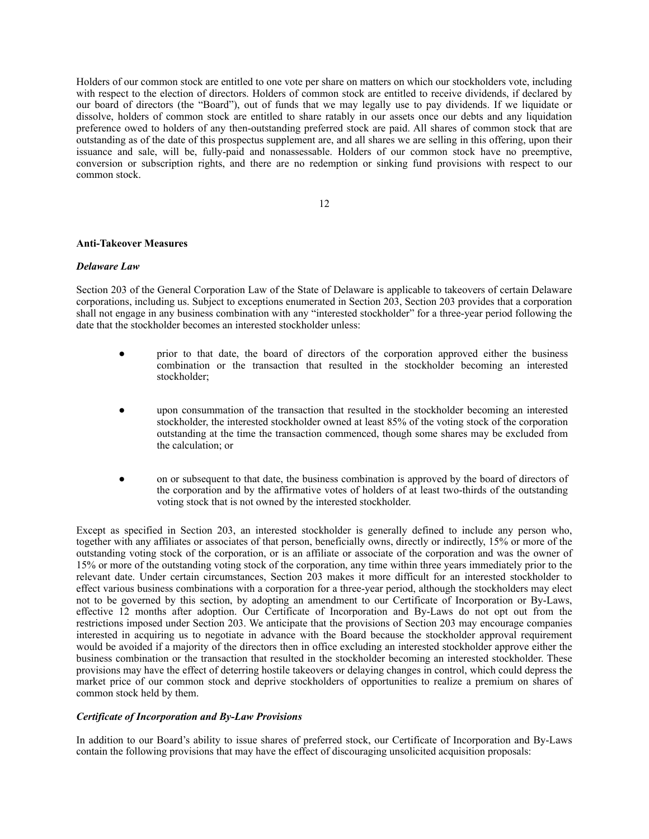Holders of our common stock are entitled to one vote per share on matters on which our stockholders vote, including with respect to the election of directors. Holders of common stock are entitled to receive dividends, if declared by our board of directors (the "Board"), out of funds that we may legally use to pay dividends. If we liquidate or dissolve, holders of common stock are entitled to share ratably in our assets once our debts and any liquidation preference owed to holders of any then-outstanding preferred stock are paid. All shares of common stock that are outstanding as of the date of this prospectus supplement are, and all shares we are selling in this offering, upon their issuance and sale, will be, fully-paid and nonassessable. Holders of our common stock have no preemptive, conversion or subscription rights, and there are no redemption or sinking fund provisions with respect to our common stock.

12

# **Anti-Takeover Measures**

# *Delaware Law*

Section 203 of the General Corporation Law of the State of Delaware is applicable to takeovers of certain Delaware corporations, including us. Subject to exceptions enumerated in Section 203, Section 203 provides that a corporation shall not engage in any business combination with any "interested stockholder" for a three-year period following the date that the stockholder becomes an interested stockholder unless:

- prior to that date, the board of directors of the corporation approved either the business combination or the transaction that resulted in the stockholder becoming an interested stockholder;
- upon consummation of the transaction that resulted in the stockholder becoming an interested stockholder, the interested stockholder owned at least 85% of the voting stock of the corporation outstanding at the time the transaction commenced, though some shares may be excluded from the calculation; or
- on or subsequent to that date, the business combination is approved by the board of directors of the corporation and by the affirmative votes of holders of at least two-thirds of the outstanding voting stock that is not owned by the interested stockholder.

Except as specified in Section 203, an interested stockholder is generally defined to include any person who, together with any affiliates or associates of that person, beneficially owns, directly or indirectly, 15% or more of the outstanding voting stock of the corporation, or is an affiliate or associate of the corporation and was the owner of 15% or more of the outstanding voting stock of the corporation, any time within three years immediately prior to the relevant date. Under certain circumstances, Section 203 makes it more difficult for an interested stockholder to effect various business combinations with a corporation for a three-year period, although the stockholders may elect not to be governed by this section, by adopting an amendment to our Certificate of Incorporation or By-Laws, effective 12 months after adoption. Our Certificate of Incorporation and By-Laws do not opt out from the restrictions imposed under Section 203. We anticipate that the provisions of Section 203 may encourage companies interested in acquiring us to negotiate in advance with the Board because the stockholder approval requirement would be avoided if a majority of the directors then in office excluding an interested stockholder approve either the business combination or the transaction that resulted in the stockholder becoming an interested stockholder. These provisions may have the effect of deterring hostile takeovers or delaying changes in control, which could depress the market price of our common stock and deprive stockholders of opportunities to realize a premium on shares of common stock held by them.

# *Certificate of Incorporation and By-Law Provisions*

In addition to our Board's ability to issue shares of preferred stock, our Certificate of Incorporation and By-Laws contain the following provisions that may have the effect of discouraging unsolicited acquisition proposals: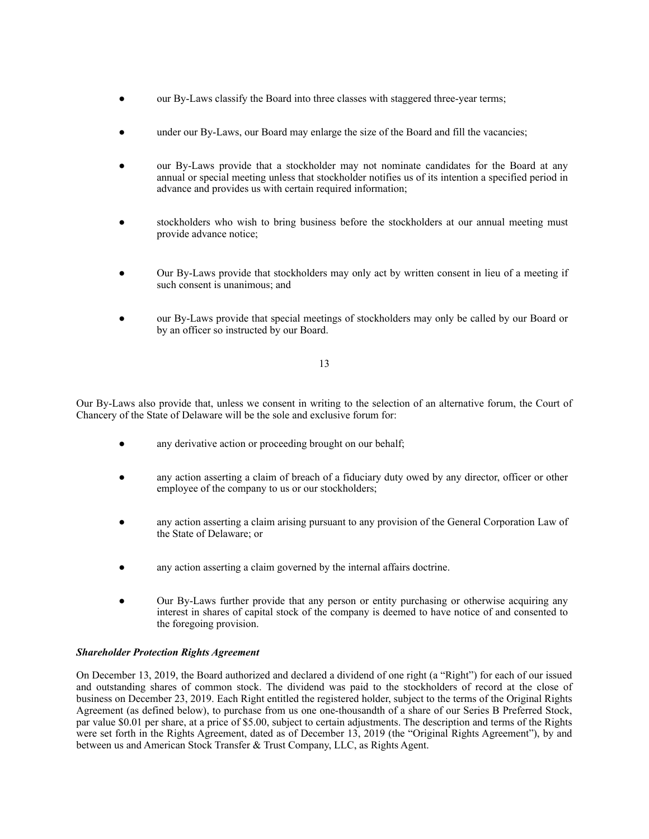- our By-Laws classify the Board into three classes with staggered three-year terms;
- under our By-Laws, our Board may enlarge the size of the Board and fill the vacancies;
- our By-Laws provide that a stockholder may not nominate candidates for the Board at any annual or special meeting unless that stockholder notifies us of its intention a specified period in advance and provides us with certain required information;
- stockholders who wish to bring business before the stockholders at our annual meeting must provide advance notice;
- Our By-Laws provide that stockholders may only act by written consent in lieu of a meeting if such consent is unanimous; and
- our By-Laws provide that special meetings of stockholders may only be called by our Board or by an officer so instructed by our Board.

13

Our By-Laws also provide that, unless we consent in writing to the selection of an alternative forum, the Court of Chancery of the State of Delaware will be the sole and exclusive forum for:

- any derivative action or proceeding brought on our behalf;
- any action asserting a claim of breach of a fiduciary duty owed by any director, officer or other employee of the company to us or our stockholders;
- any action asserting a claim arising pursuant to any provision of the General Corporation Law of the State of Delaware; or
- any action asserting a claim governed by the internal affairs doctrine.
- Our By-Laws further provide that any person or entity purchasing or otherwise acquiring any interest in shares of capital stock of the company is deemed to have notice of and consented to the foregoing provision.

# *Shareholder Protection Rights Agreement*

On December 13, 2019, the Board authorized and declared a dividend of one right (a "Right") for each of our issued and outstanding shares of common stock. The dividend was paid to the stockholders of record at the close of business on December 23, 2019. Each Right entitled the registered holder, subject to the terms of the Original Rights Agreement (as defined below), to purchase from us one one-thousandth of a share of our Series B Preferred Stock, par value \$0.01 per share, at a price of \$5.00, subject to certain adjustments. The description and terms of the Rights were set forth in the Rights Agreement, dated as of December 13, 2019 (the "Original Rights Agreement"), by and between us and American Stock Transfer & Trust Company, LLC, as Rights Agent.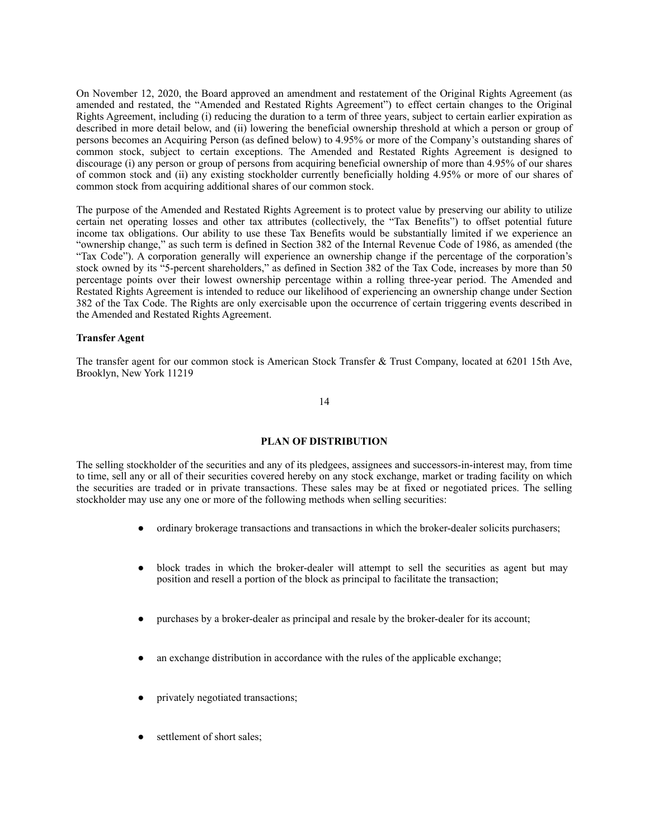On November 12, 2020, the Board approved an amendment and restatement of the Original Rights Agreement (as amended and restated, the "Amended and Restated Rights Agreement") to effect certain changes to the Original Rights Agreement, including (i) reducing the duration to a term of three years, subject to certain earlier expiration as described in more detail below, and (ii) lowering the beneficial ownership threshold at which a person or group of persons becomes an Acquiring Person (as defined below) to 4.95% or more of the Company's outstanding shares of common stock, subject to certain exceptions. The Amended and Restated Rights Agreement is designed to discourage (i) any person or group of persons from acquiring beneficial ownership of more than 4.95% of our shares of common stock and (ii) any existing stockholder currently beneficially holding 4.95% or more of our shares of common stock from acquiring additional shares of our common stock.

The purpose of the Amended and Restated Rights Agreement is to protect value by preserving our ability to utilize certain net operating losses and other tax attributes (collectively, the "Tax Benefits") to offset potential future income tax obligations. Our ability to use these Tax Benefits would be substantially limited if we experience an "ownership change," as such term is defined in Section 382 of the Internal Revenue Code of 1986, as amended (the "Tax Code"). A corporation generally will experience an ownership change if the percentage of the corporation's stock owned by its "5-percent shareholders," as defined in Section 382 of the Tax Code, increases by more than 50 percentage points over their lowest ownership percentage within a rolling three-year period. The Amended and Restated Rights Agreement is intended to reduce our likelihood of experiencing an ownership change under Section 382 of the Tax Code. The Rights are only exercisable upon the occurrence of certain triggering events described in the Amended and Restated Rights Agreement.

# **Transfer Agent**

The transfer agent for our common stock is American Stock Transfer & Trust Company, located at 6201 15th Ave, Brooklyn, New York 11219

14

# <span id="page-17-0"></span>**PLAN OF DISTRIBUTION**

The selling stockholder of the securities and any of its pledgees, assignees and successors-in-interest may, from time to time, sell any or all of their securities covered hereby on any stock exchange, market or trading facility on which the securities are traded or in private transactions. These sales may be at fixed or negotiated prices. The selling stockholder may use any one or more of the following methods when selling securities:

- ordinary brokerage transactions and transactions in which the broker-dealer solicits purchasers;
- block trades in which the broker-dealer will attempt to sell the securities as agent but may position and resell a portion of the block as principal to facilitate the transaction;
- purchases by a broker-dealer as principal and resale by the broker-dealer for its account;
- an exchange distribution in accordance with the rules of the applicable exchange;
- privately negotiated transactions;
- settlement of short sales;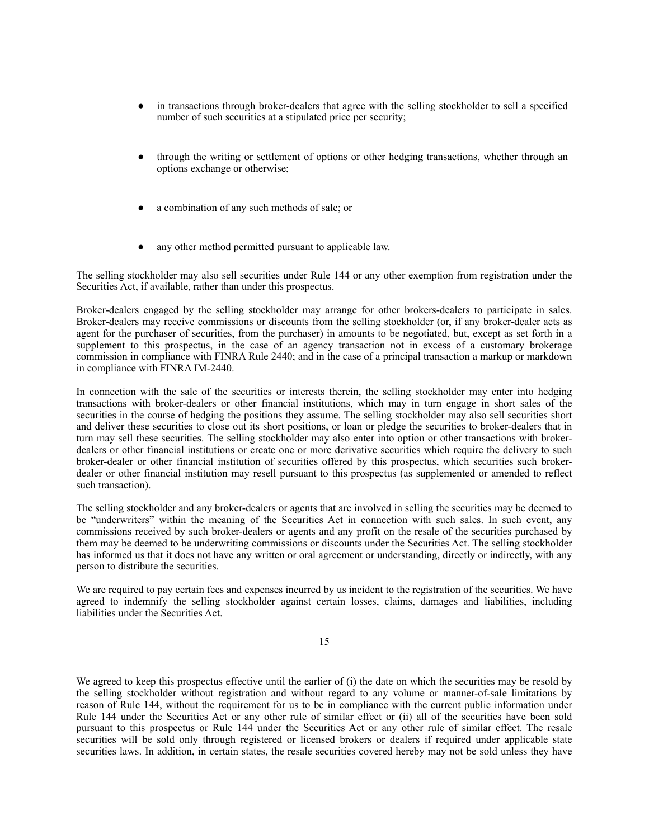- in transactions through broker-dealers that agree with the selling stockholder to sell a specified number of such securities at a stipulated price per security;
- through the writing or settlement of options or other hedging transactions, whether through an options exchange or otherwise;
- a combination of any such methods of sale; or
- any other method permitted pursuant to applicable law.

The selling stockholder may also sell securities under Rule 144 or any other exemption from registration under the Securities Act, if available, rather than under this prospectus.

Broker-dealers engaged by the selling stockholder may arrange for other brokers-dealers to participate in sales. Broker-dealers may receive commissions or discounts from the selling stockholder (or, if any broker-dealer acts as agent for the purchaser of securities, from the purchaser) in amounts to be negotiated, but, except as set forth in a supplement to this prospectus, in the case of an agency transaction not in excess of a customary brokerage commission in compliance with FINRA Rule 2440; and in the case of a principal transaction a markup or markdown in compliance with FINRA IM-2440.

In connection with the sale of the securities or interests therein, the selling stockholder may enter into hedging transactions with broker-dealers or other financial institutions, which may in turn engage in short sales of the securities in the course of hedging the positions they assume. The selling stockholder may also sell securities short and deliver these securities to close out its short positions, or loan or pledge the securities to broker-dealers that in turn may sell these securities. The selling stockholder may also enter into option or other transactions with brokerdealers or other financial institutions or create one or more derivative securities which require the delivery to such broker-dealer or other financial institution of securities offered by this prospectus, which securities such brokerdealer or other financial institution may resell pursuant to this prospectus (as supplemented or amended to reflect such transaction).

The selling stockholder and any broker-dealers or agents that are involved in selling the securities may be deemed to be "underwriters" within the meaning of the Securities Act in connection with such sales. In such event, any commissions received by such broker-dealers or agents and any profit on the resale of the securities purchased by them may be deemed to be underwriting commissions or discounts under the Securities Act. The selling stockholder has informed us that it does not have any written or oral agreement or understanding, directly or indirectly, with any person to distribute the securities.

We are required to pay certain fees and expenses incurred by us incident to the registration of the securities. We have agreed to indemnify the selling stockholder against certain losses, claims, damages and liabilities, including liabilities under the Securities Act.

15

We agreed to keep this prospectus effective until the earlier of (i) the date on which the securities may be resold by the selling stockholder without registration and without regard to any volume or manner-of-sale limitations by reason of Rule 144, without the requirement for us to be in compliance with the current public information under Rule 144 under the Securities Act or any other rule of similar effect or (ii) all of the securities have been sold pursuant to this prospectus or Rule 144 under the Securities Act or any other rule of similar effect. The resale securities will be sold only through registered or licensed brokers or dealers if required under applicable state securities laws. In addition, in certain states, the resale securities covered hereby may not be sold unless they have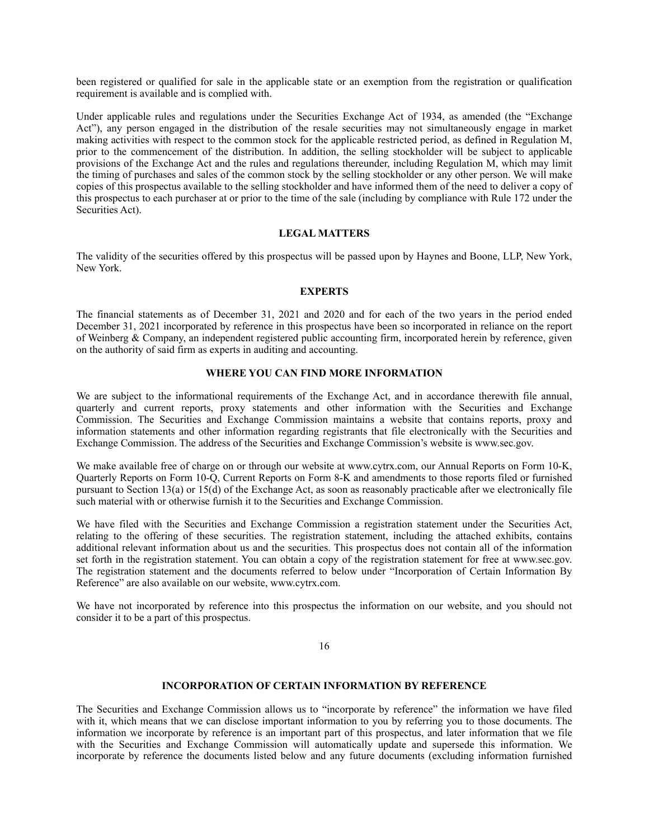been registered or qualified for sale in the applicable state or an exemption from the registration or qualification requirement is available and is complied with.

Under applicable rules and regulations under the Securities Exchange Act of 1934, as amended (the "Exchange Act"), any person engaged in the distribution of the resale securities may not simultaneously engage in market making activities with respect to the common stock for the applicable restricted period, as defined in Regulation M, prior to the commencement of the distribution. In addition, the selling stockholder will be subject to applicable provisions of the Exchange Act and the rules and regulations thereunder, including Regulation M, which may limit the timing of purchases and sales of the common stock by the selling stockholder or any other person. We will make copies of this prospectus available to the selling stockholder and have informed them of the need to deliver a copy of this prospectus to each purchaser at or prior to the time of the sale (including by compliance with Rule 172 under the Securities Act).

# <span id="page-19-0"></span>**LEGAL MATTERS**

The validity of the securities offered by this prospectus will be passed upon by Haynes and Boone, LLP, New York, New York.

# <span id="page-19-1"></span>**EXPERTS**

The financial statements as of December 31, 2021 and 2020 and for each of the two years in the period ended December 31, 2021 incorporated by reference in this prospectus have been so incorporated in reliance on the report of Weinberg & Company, an independent registered public accounting firm, incorporated herein by reference, given on the authority of said firm as experts in auditing and accounting.

# <span id="page-19-2"></span>**WHERE YOU CAN FIND MORE INFORMATION**

We are subject to the informational requirements of the Exchange Act, and in accordance therewith file annual, quarterly and current reports, proxy statements and other information with the Securities and Exchange Commission. The Securities and Exchange Commission maintains a website that contains reports, proxy and information statements and other information regarding registrants that file electronically with the Securities and Exchange Commission. The address of the Securities and Exchange Commission's website is www.sec.gov.

We make available free of charge on or through our website at www.cytrx.com, our Annual Reports on Form 10-K, Quarterly Reports on Form 10-Q, Current Reports on Form 8-K and amendments to those reports filed or furnished pursuant to Section 13(a) or 15(d) of the Exchange Act, as soon as reasonably practicable after we electronically file such material with or otherwise furnish it to the Securities and Exchange Commission.

We have filed with the Securities and Exchange Commission a registration statement under the Securities Act, relating to the offering of these securities. The registration statement, including the attached exhibits, contains additional relevant information about us and the securities. This prospectus does not contain all of the information set forth in the registration statement. You can obtain a copy of the registration statement for free at www.sec.gov. The registration statement and the documents referred to below under "Incorporation of Certain Information By Reference" are also available on our website, www.cytrx.com.

We have not incorporated by reference into this prospectus the information on our website, and you should not consider it to be a part of this prospectus.

16

# <span id="page-19-3"></span>**INCORPORATION OF CERTAIN INFORMATION BY REFERENCE**

The Securities and Exchange Commission allows us to "incorporate by reference" the information we have filed with it, which means that we can disclose important information to you by referring you to those documents. The information we incorporate by reference is an important part of this prospectus, and later information that we file with the Securities and Exchange Commission will automatically update and supersede this information. We incorporate by reference the documents listed below and any future documents (excluding information furnished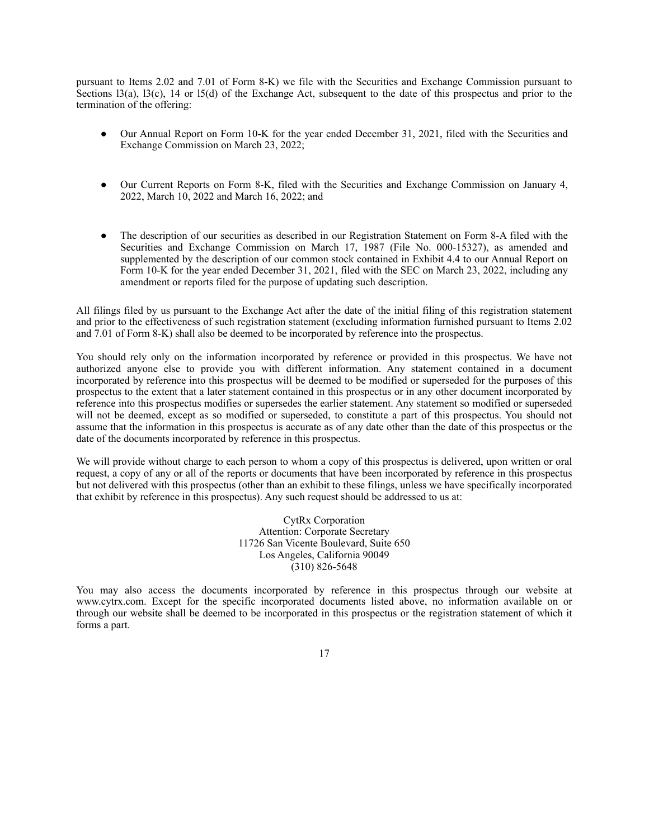pursuant to Items 2.02 and 7.01 of Form 8-K) we file with the Securities and Exchange Commission pursuant to Sections 13(a), 13(c), 14 or 15(d) of the Exchange Act, subsequent to the date of this prospectus and prior to the termination of the offering:

- Our Annual Report on Form 10-K for the year ended December 31, 2021, filed with the Securities and Exchange Commission on March 23, 2022;
- Our Current Reports on Form 8-K, filed with the Securities and Exchange Commission on January 4, 2022, March 10, 2022 and March 16, 2022; and
- The description of our securities as described in our Registration Statement on Form 8-A filed with the Securities and Exchange Commission on March 17, 1987 (File No. 000-15327), as amended and supplemented by the description of our common stock contained in Exhibit 4.4 to our Annual Report on Form 10-K for the year ended December 31, 2021, filed with the SEC on March 23, 2022, including any amendment or reports filed for the purpose of updating such description.

All filings filed by us pursuant to the Exchange Act after the date of the initial filing of this registration statement and prior to the effectiveness of such registration statement (excluding information furnished pursuant to Items 2.02 and 7.01 of Form 8-K) shall also be deemed to be incorporated by reference into the prospectus.

You should rely only on the information incorporated by reference or provided in this prospectus. We have not authorized anyone else to provide you with different information. Any statement contained in a document incorporated by reference into this prospectus will be deemed to be modified or superseded for the purposes of this prospectus to the extent that a later statement contained in this prospectus or in any other document incorporated by reference into this prospectus modifies or supersedes the earlier statement. Any statement so modified or superseded will not be deemed, except as so modified or superseded, to constitute a part of this prospectus. You should not assume that the information in this prospectus is accurate as of any date other than the date of this prospectus or the date of the documents incorporated by reference in this prospectus.

We will provide without charge to each person to whom a copy of this prospectus is delivered, upon written or oral request, a copy of any or all of the reports or documents that have been incorporated by reference in this prospectus but not delivered with this prospectus (other than an exhibit to these filings, unless we have specifically incorporated that exhibit by reference in this prospectus). Any such request should be addressed to us at:

> CytRx Corporation Attention: Corporate Secretary 11726 San Vicente Boulevard, Suite 650 Los Angeles, California 90049 (310) 826-5648

You may also access the documents incorporated by reference in this prospectus through our website at www.cytrx.com. Except for the specific incorporated documents listed above, no information available on or through our website shall be deemed to be incorporated in this prospectus or the registration statement of which it forms a part.

17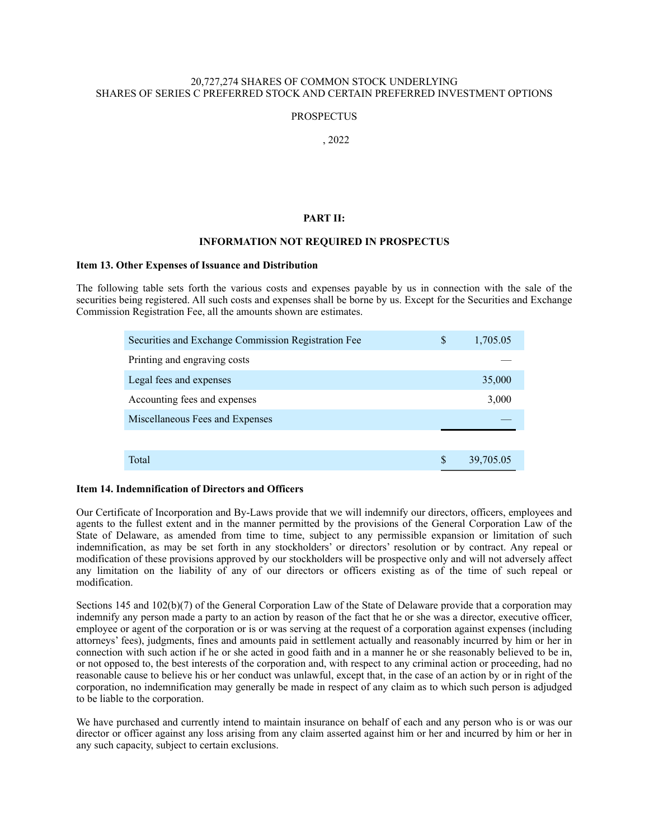# 20,727,274 SHARES OF COMMON STOCK UNDERLYING SHARES OF SERIES C PREFERRED STOCK AND CERTAIN PREFERRED INVESTMENT OPTIONS

# PROSPECTUS

# , 2022

# **PART II:**

# **INFORMATION NOT REQUIRED IN PROSPECTUS**

# **Item 13. Other Expenses of Issuance and Distribution**

The following table sets forth the various costs and expenses payable by us in connection with the sale of the securities being registered. All such costs and expenses shall be borne by us. Except for the Securities and Exchange Commission Registration Fee, all the amounts shown are estimates.

| Securities and Exchange Commission Registration Fee | S  | 1,705.05  |
|-----------------------------------------------------|----|-----------|
| Printing and engraving costs                        |    |           |
| Legal fees and expenses                             |    | 35,000    |
| Accounting fees and expenses                        |    | 3,000     |
| Miscellaneous Fees and Expenses                     |    |           |
|                                                     |    |           |
| Total                                               | \$ | 39,705.05 |

# **Item 14. Indemnification of Directors and Officers**

Our Certificate of Incorporation and By-Laws provide that we will indemnify our directors, officers, employees and agents to the fullest extent and in the manner permitted by the provisions of the General Corporation Law of the State of Delaware, as amended from time to time, subject to any permissible expansion or limitation of such indemnification, as may be set forth in any stockholders' or directors' resolution or by contract. Any repeal or modification of these provisions approved by our stockholders will be prospective only and will not adversely affect any limitation on the liability of any of our directors or officers existing as of the time of such repeal or modification.

Sections 145 and 102(b)(7) of the General Corporation Law of the State of Delaware provide that a corporation may indemnify any person made a party to an action by reason of the fact that he or she was a director, executive officer, employee or agent of the corporation or is or was serving at the request of a corporation against expenses (including attorneys' fees), judgments, fines and amounts paid in settlement actually and reasonably incurred by him or her in connection with such action if he or she acted in good faith and in a manner he or she reasonably believed to be in, or not opposed to, the best interests of the corporation and, with respect to any criminal action or proceeding, had no reasonable cause to believe his or her conduct was unlawful, except that, in the case of an action by or in right of the corporation, no indemnification may generally be made in respect of any claim as to which such person is adjudged to be liable to the corporation.

We have purchased and currently intend to maintain insurance on behalf of each and any person who is or was our director or officer against any loss arising from any claim asserted against him or her and incurred by him or her in any such capacity, subject to certain exclusions.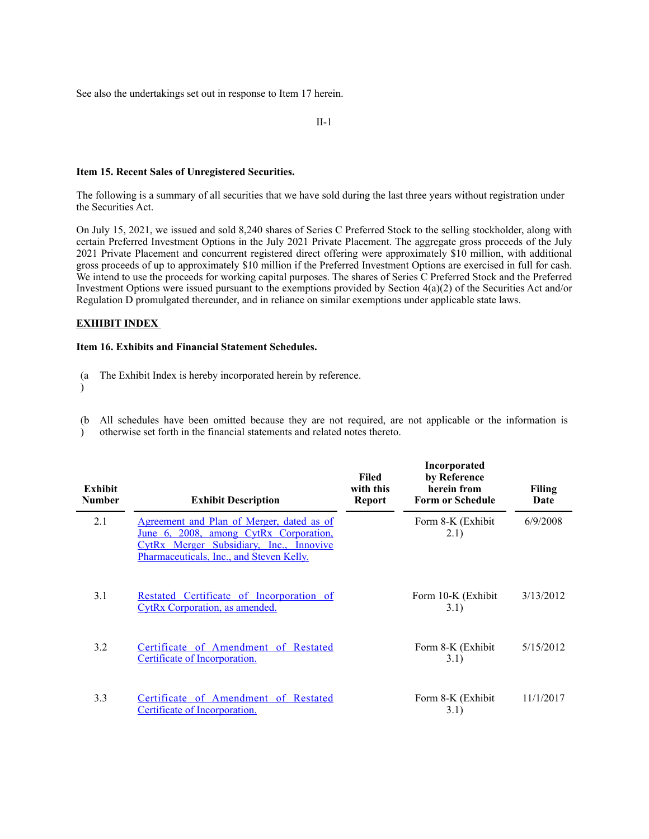See also the undertakings set out in response to Item 17 herein.

II-1

# **Item 15. Recent Sales of Unregistered Securities.**

The following is a summary of all securities that we have sold during the last three years without registration under the Securities Act.

On July 15, 2021, we issued and sold 8,240 shares of Series C Preferred Stock to the selling stockholder, along with certain Preferred Investment Options in the July 2021 Private Placement. The aggregate gross proceeds of the July 2021 Private Placement and concurrent registered direct offering were approximately \$10 million, with additional gross proceeds of up to approximately \$10 million if the Preferred Investment Options are exercised in full for cash. We intend to use the proceeds for working capital purposes. The shares of Series C Preferred Stock and the Preferred Investment Options were issued pursuant to the exemptions provided by Section 4(a)(2) of the Securities Act and/or Regulation D promulgated thereunder, and in reliance on similar exemptions under applicable state laws.

# **EXHIBIT INDEX**

# **Item 16. Exhibits and Financial Statement Schedules.**

(a The Exhibit Index is hereby incorporated herein by reference.

 $\lambda$ 

(b All schedules have been omitted because they are not required, are not applicable or the information is  $\lambda$ otherwise set forth in the financial statements and related notes thereto.

| Exhibit<br>Number | <b>Exhibit Description</b>                                                                                                                                                 | Filed<br>with this<br><b>Report</b> | Incorporated<br>by Reference<br>herein from<br><b>Form or Schedule</b> | Filing<br>Date |
|-------------------|----------------------------------------------------------------------------------------------------------------------------------------------------------------------------|-------------------------------------|------------------------------------------------------------------------|----------------|
| 2.1               | Agreement and Plan of Merger, dated as of<br>June 6, 2008, among CytRx Corporation,<br>CytRx Merger Subsidiary, Inc., Innovive<br>Pharmaceuticals, Inc., and Steven Kelly. |                                     | Form 8-K (Exhibit<br>2.1)                                              | 6/9/2008       |
| 3.1               | Restated Certificate of Incorporation of<br><b>CytRx Corporation</b> , as amended.                                                                                         |                                     | Form 10-K (Exhibit<br>3.1)                                             | 3/13/2012      |
| 3.2               | Certificate of Amendment of Restated<br>Certificate of Incorporation.                                                                                                      |                                     | Form 8-K (Exhibit)<br>3.1)                                             | 5/15/2012      |
| 3.3               | Certificate of Amendment of Restated<br>Certificate of Incorporation.                                                                                                      |                                     | Form 8-K (Exhibit)<br>3.1)                                             | 11/1/2017      |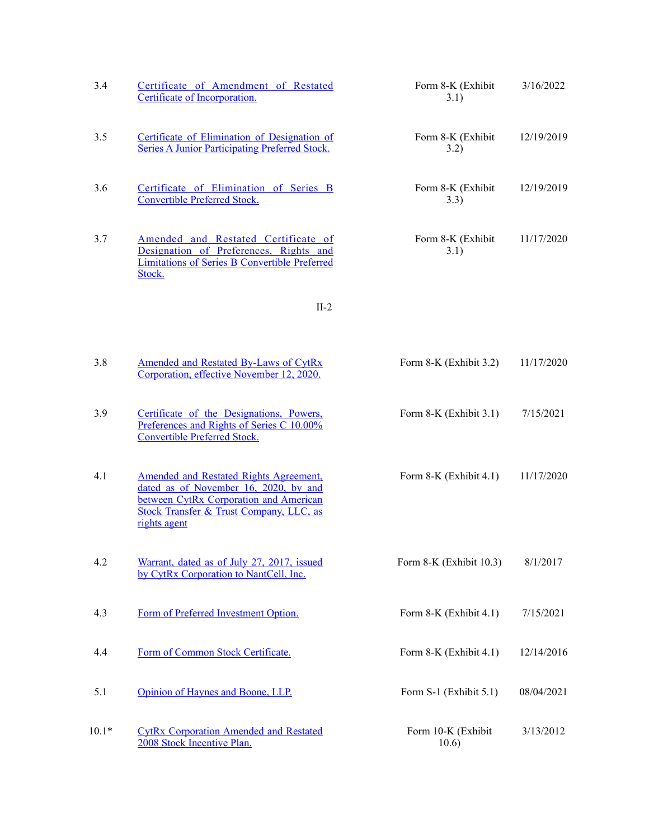| 3.4     | Certificate of Amendment of Restated<br>Certificate of Incorporation.                                                                                                                       | Form 8-K (Exhibit<br>3.1)   | 3/16/2022  |  |
|---------|---------------------------------------------------------------------------------------------------------------------------------------------------------------------------------------------|-----------------------------|------------|--|
| 3.5     | Certificate of Elimination of Designation of<br><b>Series A Junior Participating Preferred Stock.</b>                                                                                       | Form 8-K (Exhibit<br>3.2)   | 12/19/2019 |  |
| 3.6     | Certificate of Elimination of Series B<br><b>Convertible Preferred Stock.</b>                                                                                                               | Form 8-K (Exhibit<br>3.3)   | 12/19/2019 |  |
| 3.7     | Amended and Restated Certificate of<br>Designation of Preferences, Rights and<br><b>Limitations of Series B Convertible Preferred</b><br>Stock.                                             | Form 8-K (Exhibit<br>3.1)   | 11/17/2020 |  |
|         | $II-2$                                                                                                                                                                                      |                             |            |  |
| 3.8     | <b>Amended and Restated By-Laws of CytRx</b><br>Corporation, effective November 12, 2020.                                                                                                   | Form 8-K (Exhibit 3.2)      | 11/17/2020 |  |
| 3.9     | Certificate of the Designations, Powers,<br>Preferences and Rights of Series C 10.00%<br><b>Convertible Preferred Stock.</b>                                                                | Form 8-K (Exhibit 3.1)      | 7/15/2021  |  |
| 4.1     | <b>Amended and Restated Rights Agreement,</b><br>dated as of November 16, 2020, by and<br>between CytRx Corporation and American<br>Stock Transfer & Trust Company, LLC, as<br>rights agent | Form 8-K (Exhibit 4.1)      | 11/17/2020 |  |
| 4.2     | Warrant, dated as of July 27, 2017, issued<br>by CytRx Corporation to NantCell, Inc.                                                                                                        | Form 8-K (Exhibit 10.3)     | 8/1/2017   |  |
| 4.3     | Form of Preferred Investment Option.                                                                                                                                                        | Form 8-K (Exhibit 4.1)      | 7/15/2021  |  |
| 4.4     | Form of Common Stock Certificate.                                                                                                                                                           | Form 8-K (Exhibit 4.1)      | 12/14/2016 |  |
| 5.1     | Opinion of Haynes and Boone, LLP.                                                                                                                                                           | Form S-1 (Exhibit 5.1)      | 08/04/2021 |  |
| $10.1*$ | <b>CytRx Corporation Amended and Restated</b><br>2008 Stock Incentive Plan.                                                                                                                 | Form 10-K (Exhibit<br>10.6) | 3/13/2012  |  |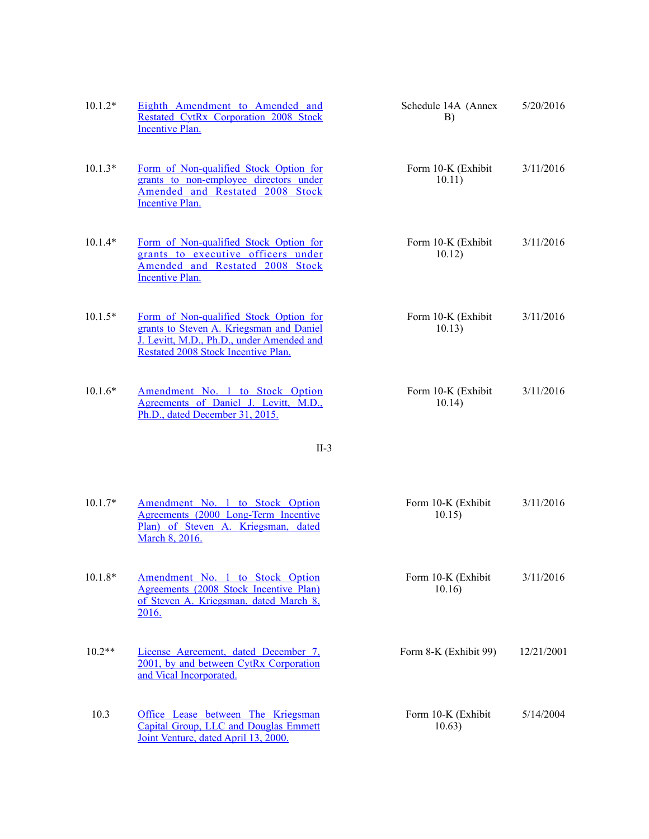| $10.1.2*$ | Eighth Amendment to Amended and<br>Restated CytRx Corporation 2008 Stock<br><b>Incentive Plan.</b>                                                                     | Schedule 14A (Annex<br>B)    | 5/20/2016  |
|-----------|------------------------------------------------------------------------------------------------------------------------------------------------------------------------|------------------------------|------------|
| $10.1.3*$ | Form of Non-qualified Stock Option for<br>grants to non-employee directors under<br>Amended and Restated 2008 Stock<br><b>Incentive Plan.</b>                          | Form 10-K (Exhibit<br>10.11) | 3/11/2016  |
| $10.1.4*$ | Form of Non-qualified Stock Option for<br>grants to executive officers under<br>Amended and Restated 2008 Stock<br><b>Incentive Plan.</b>                              | Form 10-K (Exhibit<br>10.12) | 3/11/2016  |
| $10.1.5*$ | Form of Non-qualified Stock Option for<br>grants to Steven A. Kriegsman and Daniel<br>J. Levitt, M.D., Ph.D., under Amended and<br>Restated 2008 Stock Incentive Plan. | Form 10-K (Exhibit<br>10.13) | 3/11/2016  |
| $10.1.6*$ | Amendment No. 1 to Stock Option<br>Agreements of Daniel J. Levitt, M.D.,<br>Ph.D., dated December 31, 2015.                                                            | Form 10-K (Exhibit<br>10.14) | 3/11/2016  |
|           | $II-3$                                                                                                                                                                 |                              |            |
| $10.1.7*$ | Amendment No. 1 to Stock Option<br>Agreements (2000 Long-Term Incentive<br>Plan) of Steven A. Kriegsman, dated<br>March 8, 2016.                                       | Form 10-K (Exhibit<br>10.15) | 3/11/2016  |
| $10.1.8*$ | Amendment No. 1 to Stock Option<br>Agreements (2008 Stock Incentive Plan)<br>of Steven A. Kriegsman, dated March 8,<br>2016.                                           | Form 10-K (Exhibit<br>10.16) | 3/11/2016  |
| $10.2**$  | License Agreement, dated December 7,<br>2001, by and between CytRx Corporation<br>and Vical Incorporated.                                                              | Form 8-K (Exhibit 99)        | 12/21/2001 |
| 10.3      | Office Lease between The Kriegsman<br>Capital Group, LLC and Douglas Emmett<br>Joint Venture, dated April 13, 2000.                                                    | Form 10-K (Exhibit<br>10.63) | 5/14/2004  |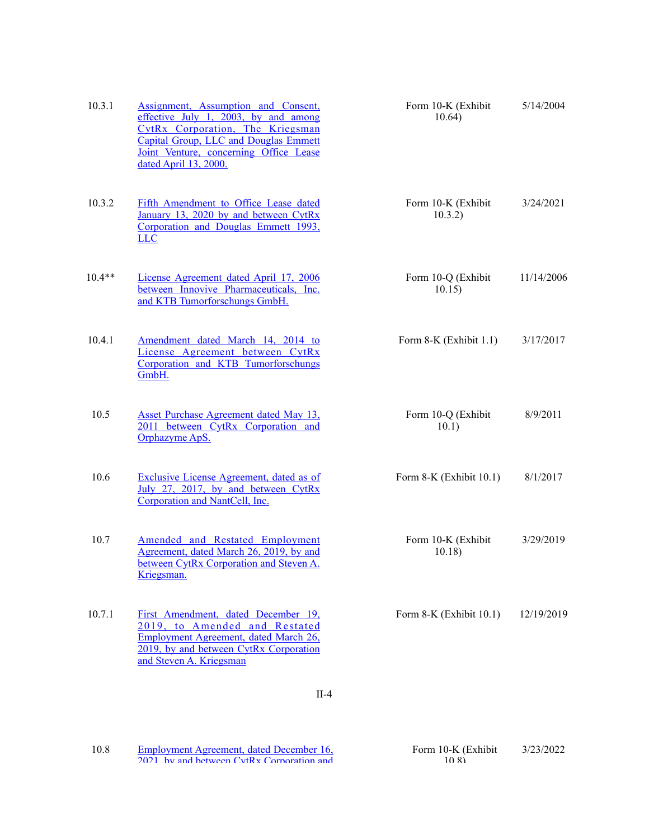| 10.3.1   | Assignment, Assumption and Consent,<br>effective July 1, 2003, by and among<br>CytRx Corporation, The Kriegsman<br><b>Capital Group, LLC and Douglas Emmett</b><br>Joint Venture, concerning Office Lease<br>dated April 13, 2000. | Form 10-K (Exhibit<br>10.64)  | 5/14/2004  |
|----------|------------------------------------------------------------------------------------------------------------------------------------------------------------------------------------------------------------------------------------|-------------------------------|------------|
| 10.3.2   | Fifth Amendment to Office Lease dated<br>January 13, 2020 by and between CytRx<br>Corporation and Douglas Emmett 1993,<br><b>LLC</b>                                                                                               | Form 10-K (Exhibit<br>10.3.2) | 3/24/2021  |
| $10.4**$ | License Agreement dated April 17, 2006<br>between Innovive Pharmaceuticals, Inc.<br>and KTB Tumorforschungs GmbH.                                                                                                                  | Form 10-Q (Exhibit<br>10.15)  | 11/14/2006 |
| 10.4.1   | Amendment dated March 14, 2014 to<br>License Agreement between CytRx<br>Corporation and KTB Tumorforschungs<br>GmbH.                                                                                                               | Form 8-K (Exhibit 1.1)        | 3/17/2017  |
| 10.5     | <b>Asset Purchase Agreement dated May 13,</b><br>2011 between CytRx Corporation and<br>Orphazyme ApS.                                                                                                                              | Form 10-Q (Exhibit<br>10.1)   | 8/9/2011   |
| 10.6     | <b>Exclusive License Agreement, dated as of</b><br>July 27, 2017, by and between CytRx<br>Corporation and NantCell, Inc.                                                                                                           | Form 8-K (Exhibit 10.1)       | 8/1/2017   |
| 10.7     | Amended and Restated Employment<br>Agreement, dated March 26, 2019, by and<br>between CytRx Corporation and Steven A.<br>Kriegsman.                                                                                                | Form 10-K (Exhibit<br>10.18   | 3/29/2019  |
| 10.7.1   | First Amendment, dated December 19,<br>2019, to Amended and Restated<br>Employment Agreement, dated March 26,<br>2019, by and between CytRx Corporation<br>and Steven A. Kriegsman                                                 | Form 8-K (Exhibit 10.1)       | 12/19/2019 |
|          |                                                                                                                                                                                                                                    |                               |            |

II-4

10.8 [Employment Agreement, dated December 16,](https://www.sec.gov/Archives/edgar/data/799698/000149315221006668/ex10-8.htm)  $2021$ , by and between CytRx Corporation and Form 10-K (Exhibit 10.8) 3/23/2022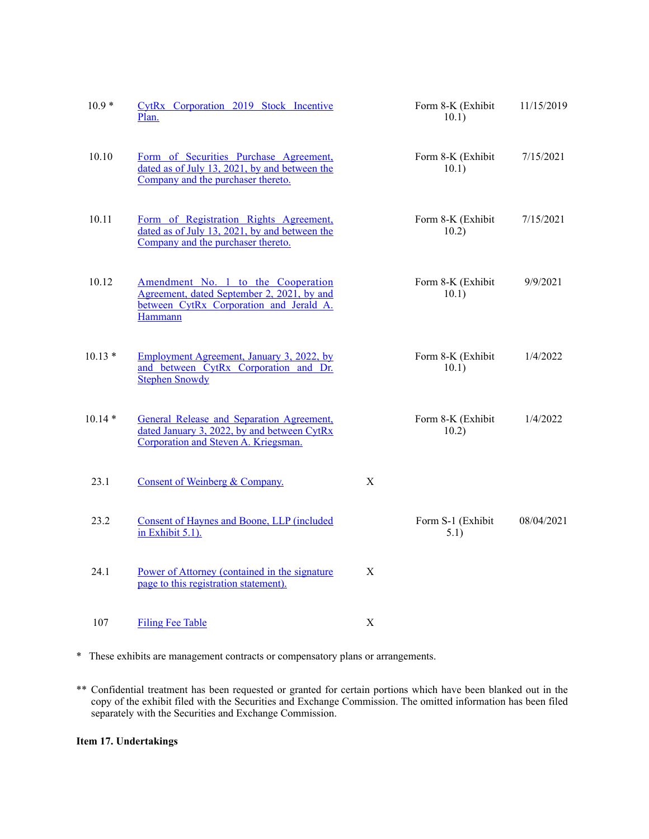| $10.9*$  | CytRx Corporation 2019 Stock Incentive<br>Plan.                                                                                        |   | Form 8-K (Exhibit<br>10.1) | 11/15/2019 |
|----------|----------------------------------------------------------------------------------------------------------------------------------------|---|----------------------------|------------|
| 10.10    | Form of Securities Purchase Agreement,<br>dated as of July 13, 2021, by and between the<br>Company and the purchaser thereto.          |   | Form 8-K (Exhibit<br>10.1) | 7/15/2021  |
| 10.11    | Form of Registration Rights Agreement,<br>dated as of July 13, 2021, by and between the<br>Company and the purchaser thereto.          |   | Form 8-K (Exhibit<br>10.2) | 7/15/2021  |
| 10.12    | Amendment No. 1 to the Cooperation<br>Agreement, dated September 2, 2021, by and<br>between CytRx Corporation and Jerald A.<br>Hammann |   | Form 8-K (Exhibit<br>10.1) | 9/9/2021   |
| $10.13*$ | Employment Agreement, January 3, 2022, by<br>and between CytRx Corporation and Dr.<br><b>Stephen Snowdy</b>                            |   | Form 8-K (Exhibit<br>10.1) | 1/4/2022   |
| $10.14*$ | General Release and Separation Agreement,<br>dated January 3, 2022, by and between CytRx<br>Corporation and Steven A. Kriegsman.       |   | Form 8-K (Exhibit<br>10.2) | 1/4/2022   |
| 23.1     | Consent of Weinberg & Company.                                                                                                         | X |                            |            |
| 23.2     | <b>Consent of Haynes and Boone, LLP (included)</b><br>in Exhibit $5.1$ ).                                                              |   | Form S-1 (Exhibit<br>5.1)  | 08/04/2021 |
| 24.1     | Power of Attorney (contained in the signature<br>page to this registration statement).                                                 | X |                            |            |
| 107      | <b>Filing Fee Table</b>                                                                                                                | Χ |                            |            |

\* These exhibits are management contracts or compensatory plans or arrangements.

\*\* Confidential treatment has been requested or granted for certain portions which have been blanked out in the copy of the exhibit filed with the Securities and Exchange Commission. The omitted information has been filed separately with the Securities and Exchange Commission.

# **Item 17. Undertakings**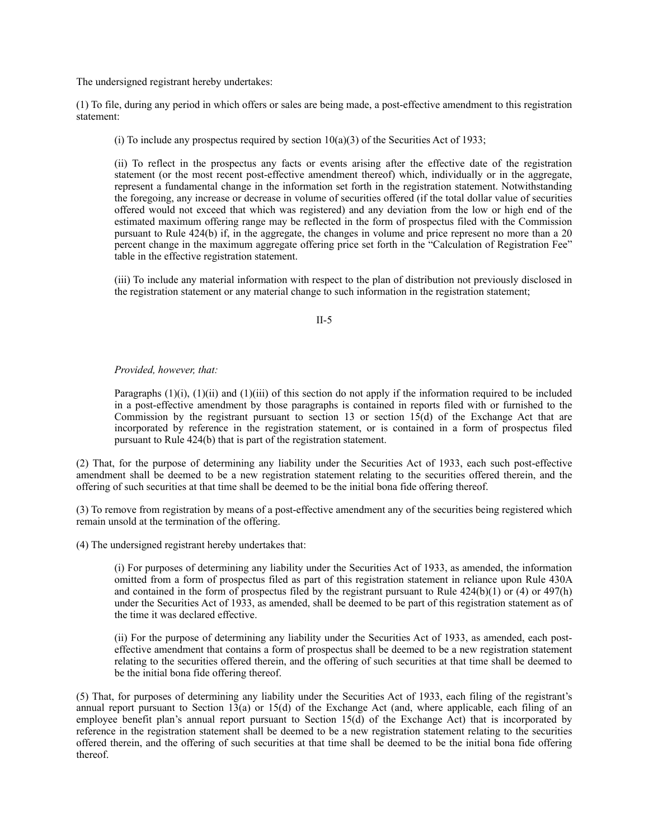The undersigned registrant hereby undertakes:

(1) To file, during any period in which offers or sales are being made, a post-effective amendment to this registration statement:

(i) To include any prospectus required by section  $10(a)(3)$  of the Securities Act of 1933;

(ii) To reflect in the prospectus any facts or events arising after the effective date of the registration statement (or the most recent post-effective amendment thereof) which, individually or in the aggregate, represent a fundamental change in the information set forth in the registration statement. Notwithstanding the foregoing, any increase or decrease in volume of securities offered (if the total dollar value of securities offered would not exceed that which was registered) and any deviation from the low or high end of the estimated maximum offering range may be reflected in the form of prospectus filed with the Commission pursuant to Rule 424(b) if, in the aggregate, the changes in volume and price represent no more than a 20 percent change in the maximum aggregate offering price set forth in the "Calculation of Registration Fee" table in the effective registration statement.

(iii) To include any material information with respect to the plan of distribution not previously disclosed in the registration statement or any material change to such information in the registration statement;

II-5

# *Provided, however, that:*

Paragraphs  $(1)(i)$ ,  $(1)(ii)$  and  $(1)(iii)$  of this section do not apply if the information required to be included in a post-effective amendment by those paragraphs is contained in reports filed with or furnished to the Commission by the registrant pursuant to section 13 or section 15(d) of the Exchange Act that are incorporated by reference in the registration statement, or is contained in a form of prospectus filed pursuant to Rule 424(b) that is part of the registration statement.

(2) That, for the purpose of determining any liability under the Securities Act of 1933, each such post-effective amendment shall be deemed to be a new registration statement relating to the securities offered therein, and the offering of such securities at that time shall be deemed to be the initial bona fide offering thereof.

(3) To remove from registration by means of a post-effective amendment any of the securities being registered which remain unsold at the termination of the offering.

(4) The undersigned registrant hereby undertakes that:

(i) For purposes of determining any liability under the Securities Act of 1933, as amended, the information omitted from a form of prospectus filed as part of this registration statement in reliance upon Rule 430A and contained in the form of prospectus filed by the registrant pursuant to Rule  $424(b)(1)$  or  $(4)$  or  $497(h)$ under the Securities Act of 1933, as amended, shall be deemed to be part of this registration statement as of the time it was declared effective.

(ii) For the purpose of determining any liability under the Securities Act of 1933, as amended, each posteffective amendment that contains a form of prospectus shall be deemed to be a new registration statement relating to the securities offered therein, and the offering of such securities at that time shall be deemed to be the initial bona fide offering thereof.

(5) That, for purposes of determining any liability under the Securities Act of 1933, each filing of the registrant's annual report pursuant to Section 13(a) or 15(d) of the Exchange Act (and, where applicable, each filing of an employee benefit plan's annual report pursuant to Section 15(d) of the Exchange Act) that is incorporated by reference in the registration statement shall be deemed to be a new registration statement relating to the securities offered therein, and the offering of such securities at that time shall be deemed to be the initial bona fide offering thereof.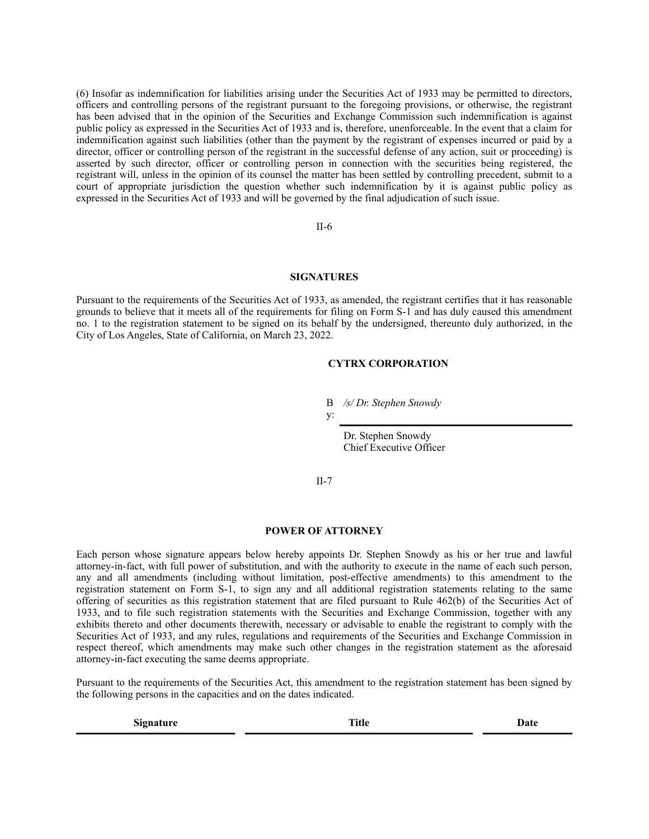(6) Insofar as indemnification for liabilities arising under the Securities Act of 1933 may be permitted to directors, officers and controlling persons of the registrant pursuant to the foregoing provisions, or otherwise, the registrant has been advised that in the opinion of the Securities and Exchange Commission such indemnification is against public policy as expressed in the Securities Act of 1933 and is, therefore, unenforceable. In the event that a claim for indemnification against such liabilities (other than the payment by the registrant of expenses incurred or paid by a director, officer or controlling person of the registrant in the successful defense of any action, suit or proceeding) is asserted by such director, officer or controlling person in connection with the securities being registered, the registrant will, unless in the opinion of its counsel the matter has been settled by controlling precedent, submit to a court of appropriate jurisdiction the question whether such indemnification by it is against public policy as expressed in the Securities Act of 1933 and will be governed by the final adjudication of such issue.

# II-6

# **SIGNATURES**

Pursuant to the requirements of the Securities Act of 1933, as amended, the registrant certifies that it has reasonable grounds to believe that it meets all of the requirements for filing on Form S-1 and has duly caused this amendment no. 1 to the registration statement to be signed on its behalf by the undersigned, thereunto duly authorized, in the City of Los Angeles, State of California, on March 23, 2022.

#### **CYTRX CORPORATION**

B */s/ Dr. Stephen Snowdy*

y:

Dr. Stephen Snowdy Chief Executive Officer

II-7

#### <span id="page-28-0"></span>**POWER OF ATTORNEY**

Each person whose signature appears below hereby appoints Dr. Stephen Snowdy as his or her true and lawful attorney-in-fact, with full power of substitution, and with the authority to execute in the name of each such person, any and all amendments (including without limitation, post-effective amendments) to this amendment to the registration statement on Form S-1, to sign any and all additional registration statements relating to the same offering of securities as this registration statement that are filed pursuant to Rule 462(b) of the Securities Act of 1933, and to file such registration statements with the Securities and Exchange Commission, together with any exhibits thereto and other documents therewith, necessary or advisable to enable the registrant to comply with the Securities Act of 1933, and any rules, regulations and requirements of the Securities and Exchange Commission in respect thereof, which amendments may make such other changes in the registration statement as the aforesaid attorney-in-fact executing the same deems appropriate.

Pursuant to the requirements of the Securities Act, this amendment to the registration statement has been signed by the following persons in the capacities and on the dates indicated.

| <b>Signature</b> | <b>Title</b><br>--- - | Date |
|------------------|-----------------------|------|
|------------------|-----------------------|------|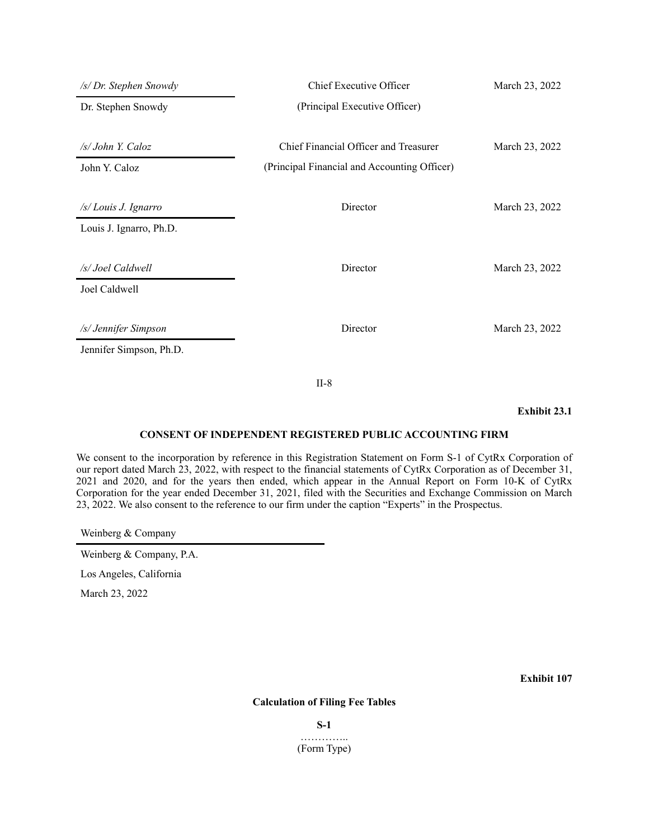| <b>Chief Executive Officer</b>               | March 23, 2022 |
|----------------------------------------------|----------------|
| (Principal Executive Officer)                |                |
|                                              |                |
| Chief Financial Officer and Treasurer        | March 23, 2022 |
| (Principal Financial and Accounting Officer) |                |
|                                              |                |
| Director                                     | March 23, 2022 |
|                                              |                |
|                                              |                |
| Director                                     | March 23, 2022 |
|                                              |                |
|                                              |                |
| Director                                     | March 23, 2022 |
|                                              |                |
|                                              |                |

II-8

# **Exhibit 23.1**

# **CONSENT OF INDEPENDENT REGISTERED PUBLIC ACCOUNTING FIRM**

We consent to the incorporation by reference in this Registration Statement on Form S-1 of CytRx Corporation of our report dated March 23, 2022, with respect to the financial statements of CytRx Corporation as of December 31, 2021 and 2020, and for the years then ended, which appear in the Annual Report on Form 10-K of CytRx Corporation for the year ended December 31, 2021, filed with the Securities and Exchange Commission on March 23, 2022. We also consent to the reference to our firm under the caption "Experts" in the Prospectus.

Weinberg & Company

Weinberg & Company, P.A.

Los Angeles, California

March 23, 2022

**Exhibit 107**

# **Calculation of Filing Fee Tables**

**S-1**

………….. (Form Type)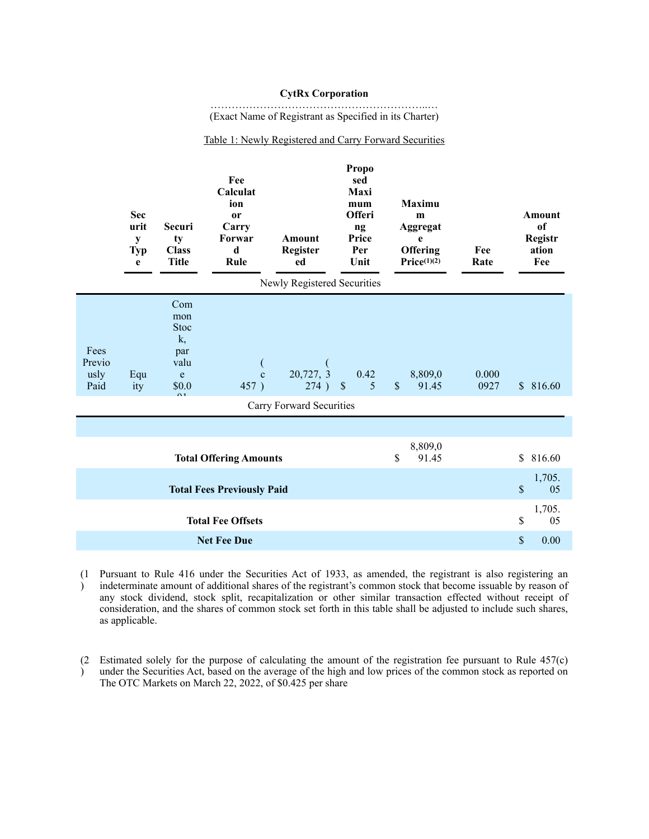# **CytRx Corporation**

……………………………………………………..… (Exact Name of Registrant as Specified in its Charter)

# Table 1: Newly Registered and Carry Forward Securities

|                                   | <b>Sec</b><br>urit<br>y<br>Typ<br>e | Securi<br>ty<br><b>Class</b><br><b>Title</b>                                                  | Fee<br>Calculat<br>ion<br><sub>or</sub><br>Carry<br>Forwar<br>d<br>Rule | <b>Amount</b><br>Register<br>ed<br>Newly Registered Securities | Propo<br>sed<br>Maxi<br>mum<br>Offeri<br>ng<br>Price<br>Per<br>Unit |               | Maximu<br>m<br><b>Aggregat</b><br>e<br><b>Offering</b><br>Price <sup>(1)(2)</sup> | Fee<br>Rate   | <b>Amount</b><br>of<br>Registr<br>ation<br>Fee |
|-----------------------------------|-------------------------------------|-----------------------------------------------------------------------------------------------|-------------------------------------------------------------------------|----------------------------------------------------------------|---------------------------------------------------------------------|---------------|-----------------------------------------------------------------------------------|---------------|------------------------------------------------|
| Fees<br>Previo<br>usly<br>Paid    | Equ<br>ity                          | Com<br>mon<br><b>Stoc</b><br>$\mathbf{k},$<br>par<br>valu<br>$\mathbf e$<br>\$0.0<br>$\sim$ 1 | $\mathbf{c}$<br>457)                                                    | 20,727, 3<br>274)                                              | 0.42<br>5<br>$\mathsf{\$}$                                          | $\mathsf{\$}$ | 8,809,0<br>91.45                                                                  | 0.000<br>0927 | \$816.60                                       |
| Carry Forward Securities          |                                     |                                                                                               |                                                                         |                                                                |                                                                     |               |                                                                                   |               |                                                |
| <b>Total Offering Amounts</b>     |                                     |                                                                                               |                                                                         |                                                                |                                                                     | \$            | 8,809,0<br>91.45                                                                  |               | 816.60<br>\$                                   |
| <b>Total Fees Previously Paid</b> |                                     |                                                                                               |                                                                         |                                                                |                                                                     |               |                                                                                   |               | 1,705.<br>$\mathbf{\hat{S}}$<br>05             |
| <b>Total Fee Offsets</b>          |                                     |                                                                                               |                                                                         |                                                                |                                                                     |               |                                                                                   |               | 1,705.<br>\$<br>05                             |
| <b>Net Fee Due</b>                |                                     |                                                                                               |                                                                         |                                                                |                                                                     |               |                                                                                   |               | \$<br>0.00                                     |

- (1 Pursuant to Rule 416 under the Securities Act of 1933, as amended, the registrant is also registering an  $\mathcal{L}$ indeterminate amount of additional shares of the registrant's common stock that become issuable by reason of any stock dividend, stock split, recapitalization or other similar transaction effected without receipt of consideration, and the shares of common stock set forth in this table shall be adjusted to include such shares, as applicable.
- (2 Estimated solely for the purpose of calculating the amount of the registration fee pursuant to Rule 457(c)  $\mathcal{L}$ under the Securities Act, based on the average of the high and low prices of the common stock as reported on The OTC Markets on March 22, 2022, of \$0.425 per share